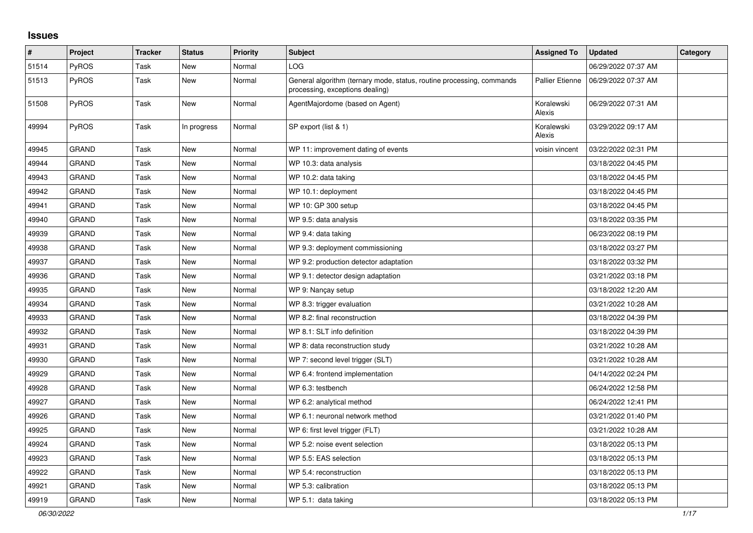## **Issues**

| #     | Project      | <b>Tracker</b> | <b>Status</b> | <b>Priority</b> | <b>Subject</b>                                                                                           | <b>Assigned To</b>     | <b>Updated</b>      | Category |
|-------|--------------|----------------|---------------|-----------------|----------------------------------------------------------------------------------------------------------|------------------------|---------------------|----------|
| 51514 | <b>PyROS</b> | Task           | New           | Normal          | LOG                                                                                                      |                        | 06/29/2022 07:37 AM |          |
| 51513 | <b>PyROS</b> | Task           | New           | Normal          | General algorithm (ternary mode, status, routine processing, commands<br>processing, exceptions dealing) | <b>Pallier Etienne</b> | 06/29/2022 07:37 AM |          |
| 51508 | <b>PyROS</b> | Task           | New           | Normal          | AgentMajordome (based on Agent)                                                                          | Koralewski<br>Alexis   | 06/29/2022 07:31 AM |          |
| 49994 | PyROS        | Task           | In progress   | Normal          | SP export (list & 1)                                                                                     | Koralewski<br>Alexis   | 03/29/2022 09:17 AM |          |
| 49945 | <b>GRAND</b> | Task           | New           | Normal          | WP 11: improvement dating of events                                                                      | voisin vincent         | 03/22/2022 02:31 PM |          |
| 49944 | <b>GRAND</b> | Task           | New           | Normal          | WP 10.3: data analysis                                                                                   |                        | 03/18/2022 04:45 PM |          |
| 49943 | <b>GRAND</b> | Task           | New           | Normal          | WP 10.2: data taking                                                                                     |                        | 03/18/2022 04:45 PM |          |
| 49942 | GRAND        | Task           | <b>New</b>    | Normal          | WP 10.1: deployment                                                                                      |                        | 03/18/2022 04:45 PM |          |
| 49941 | GRAND        | Task           | New           | Normal          | WP 10: GP 300 setup                                                                                      |                        | 03/18/2022 04:45 PM |          |
| 49940 | <b>GRAND</b> | Task           | New           | Normal          | WP 9.5: data analysis                                                                                    |                        | 03/18/2022 03:35 PM |          |
| 49939 | <b>GRAND</b> | Task           | New           | Normal          | WP 9.4: data taking                                                                                      |                        | 06/23/2022 08:19 PM |          |
| 49938 | GRAND        | Task           | New           | Normal          | WP 9.3: deployment commissioning                                                                         |                        | 03/18/2022 03:27 PM |          |
| 49937 | GRAND        | Task           | New           | Normal          | WP 9.2: production detector adaptation                                                                   |                        | 03/18/2022 03:32 PM |          |
| 49936 | <b>GRAND</b> | Task           | <b>New</b>    | Normal          | WP 9.1: detector design adaptation                                                                       |                        | 03/21/2022 03:18 PM |          |
| 49935 | <b>GRAND</b> | Task           | New           | Normal          | WP 9: Nançay setup                                                                                       |                        | 03/18/2022 12:20 AM |          |
| 49934 | GRAND        | Task           | New           | Normal          | WP 8.3: trigger evaluation                                                                               |                        | 03/21/2022 10:28 AM |          |
| 49933 | <b>GRAND</b> | Task           | <b>New</b>    | Normal          | WP 8.2: final reconstruction                                                                             |                        | 03/18/2022 04:39 PM |          |
| 49932 | <b>GRAND</b> | Task           | <b>New</b>    | Normal          | WP 8.1: SLT info definition                                                                              |                        | 03/18/2022 04:39 PM |          |
| 49931 | GRAND        | Task           | New           | Normal          | WP 8: data reconstruction study                                                                          |                        | 03/21/2022 10:28 AM |          |
| 49930 | GRAND        | Task           | New           | Normal          | WP 7: second level trigger (SLT)                                                                         |                        | 03/21/2022 10:28 AM |          |
| 49929 | <b>GRAND</b> | Task           | <b>New</b>    | Normal          | WP 6.4: frontend implementation                                                                          |                        | 04/14/2022 02:24 PM |          |
| 49928 | <b>GRAND</b> | Task           | New           | Normal          | WP 6.3: testbench                                                                                        |                        | 06/24/2022 12:58 PM |          |
| 49927 | GRAND        | Task           | New           | Normal          | WP 6.2: analytical method                                                                                |                        | 06/24/2022 12:41 PM |          |
| 49926 | <b>GRAND</b> | Task           | <b>New</b>    | Normal          | WP 6.1: neuronal network method                                                                          |                        | 03/21/2022 01:40 PM |          |
| 49925 | <b>GRAND</b> | Task           | New           | Normal          | WP 6: first level trigger (FLT)                                                                          |                        | 03/21/2022 10:28 AM |          |
| 49924 | <b>GRAND</b> | Task           | New           | Normal          | WP 5.2: noise event selection                                                                            |                        | 03/18/2022 05:13 PM |          |
| 49923 | GRAND        | Task           | New           | Normal          | WP 5.5: EAS selection                                                                                    |                        | 03/18/2022 05:13 PM |          |
| 49922 | <b>GRAND</b> | Task           | New           | Normal          | WP 5.4: reconstruction                                                                                   |                        | 03/18/2022 05:13 PM |          |
| 49921 | GRAND        | Task           | <b>New</b>    | Normal          | WP 5.3: calibration                                                                                      |                        | 03/18/2022 05:13 PM |          |
| 49919 | <b>GRAND</b> | Task           | New           | Normal          | WP 5.1: data taking                                                                                      |                        | 03/18/2022 05:13 PM |          |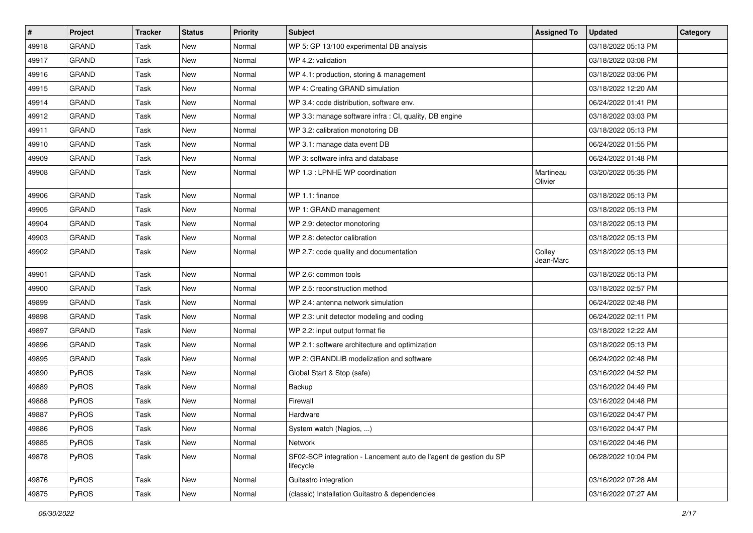| $\vert$ # | Project      | <b>Tracker</b> | <b>Status</b> | <b>Priority</b> | <b>Subject</b>                                                                 | <b>Assigned To</b>   | <b>Updated</b>      | Category |
|-----------|--------------|----------------|---------------|-----------------|--------------------------------------------------------------------------------|----------------------|---------------------|----------|
| 49918     | <b>GRAND</b> | Task           | <b>New</b>    | Normal          | WP 5: GP 13/100 experimental DB analysis                                       |                      | 03/18/2022 05:13 PM |          |
| 49917     | <b>GRAND</b> | Task           | New           | Normal          | WP 4.2: validation                                                             |                      | 03/18/2022 03:08 PM |          |
| 49916     | GRAND        | Task           | New           | Normal          | WP 4.1: production, storing & management                                       |                      | 03/18/2022 03:06 PM |          |
| 49915     | <b>GRAND</b> | Task           | New           | Normal          | WP 4: Creating GRAND simulation                                                |                      | 03/18/2022 12:20 AM |          |
| 49914     | <b>GRAND</b> | Task           | New           | Normal          | WP 3.4: code distribution, software env.                                       |                      | 06/24/2022 01:41 PM |          |
| 49912     | <b>GRAND</b> | Task           | New           | Normal          | WP 3.3: manage software infra : CI, quality, DB engine                         |                      | 03/18/2022 03:03 PM |          |
| 49911     | <b>GRAND</b> | Task           | <b>New</b>    | Normal          | WP 3.2: calibration monotoring DB                                              |                      | 03/18/2022 05:13 PM |          |
| 49910     | <b>GRAND</b> | Task           | New           | Normal          | WP 3.1: manage data event DB                                                   |                      | 06/24/2022 01:55 PM |          |
| 49909     | <b>GRAND</b> | Task           | New           | Normal          | WP 3: software infra and database                                              |                      | 06/24/2022 01:48 PM |          |
| 49908     | <b>GRAND</b> | Task           | New           | Normal          | WP 1.3 : LPNHE WP coordination                                                 | Martineau<br>Olivier | 03/20/2022 05:35 PM |          |
| 49906     | <b>GRAND</b> | Task           | New           | Normal          | WP 1.1: finance                                                                |                      | 03/18/2022 05:13 PM |          |
| 49905     | <b>GRAND</b> | Task           | New           | Normal          | WP 1: GRAND management                                                         |                      | 03/18/2022 05:13 PM |          |
| 49904     | <b>GRAND</b> | Task           | New           | Normal          | WP 2.9: detector monotoring                                                    |                      | 03/18/2022 05:13 PM |          |
| 49903     | <b>GRAND</b> | Task           | New           | Normal          | WP 2.8: detector calibration                                                   |                      | 03/18/2022 05:13 PM |          |
| 49902     | <b>GRAND</b> | Task           | New           | Normal          | WP 2.7: code quality and documentation                                         | Colley<br>Jean-Marc  | 03/18/2022 05:13 PM |          |
| 49901     | <b>GRAND</b> | Task           | <b>New</b>    | Normal          | WP 2.6: common tools                                                           |                      | 03/18/2022 05:13 PM |          |
| 49900     | <b>GRAND</b> | Task           | New           | Normal          | WP 2.5: reconstruction method                                                  |                      | 03/18/2022 02:57 PM |          |
| 49899     | <b>GRAND</b> | Task           | <b>New</b>    | Normal          | WP 2.4: antenna network simulation                                             |                      | 06/24/2022 02:48 PM |          |
| 49898     | <b>GRAND</b> | Task           | New           | Normal          | WP 2.3: unit detector modeling and coding                                      |                      | 06/24/2022 02:11 PM |          |
| 49897     | <b>GRAND</b> | Task           | New           | Normal          | WP 2.2: input output format fie                                                |                      | 03/18/2022 12:22 AM |          |
| 49896     | <b>GRAND</b> | Task           | New           | Normal          | WP 2.1: software architecture and optimization                                 |                      | 03/18/2022 05:13 PM |          |
| 49895     | <b>GRAND</b> | Task           | New           | Normal          | WP 2: GRANDLIB modelization and software                                       |                      | 06/24/2022 02:48 PM |          |
| 49890     | PyROS        | Task           | New           | Normal          | Global Start & Stop (safe)                                                     |                      | 03/16/2022 04:52 PM |          |
| 49889     | PyROS        | Task           | <b>New</b>    | Normal          | Backup                                                                         |                      | 03/16/2022 04:49 PM |          |
| 49888     | PyROS        | Task           | New           | Normal          | Firewall                                                                       |                      | 03/16/2022 04:48 PM |          |
| 49887     | PyROS        | Task           | New           | Normal          | Hardware                                                                       |                      | 03/16/2022 04:47 PM |          |
| 49886     | PyROS        | Task           | New           | Normal          | System watch (Nagios, )                                                        |                      | 03/16/2022 04:47 PM |          |
| 49885     | PyROS        | Task           | New           | Normal          | <b>Network</b>                                                                 |                      | 03/16/2022 04:46 PM |          |
| 49878     | PyROS        | Task           | New           | Normal          | SF02-SCP integration - Lancement auto de l'agent de gestion du SP<br>lifecycle |                      | 06/28/2022 10:04 PM |          |
| 49876     | PyROS        | Task           | New           | Normal          | Guitastro integration                                                          |                      | 03/16/2022 07:28 AM |          |
| 49875     | PyROS        | Task           | New           | Normal          | (classic) Installation Guitastro & dependencies                                |                      | 03/16/2022 07:27 AM |          |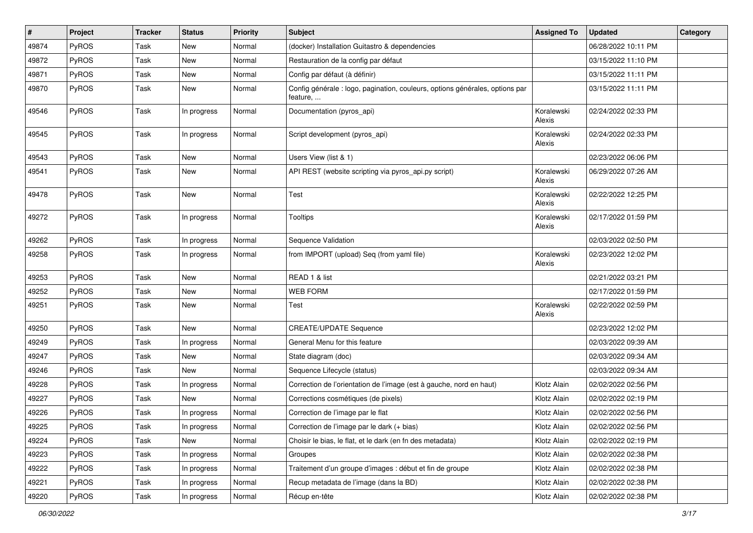| #     | Project | <b>Tracker</b> | <b>Status</b> | <b>Priority</b> | <b>Subject</b>                                                                           | <b>Assigned To</b>   | <b>Updated</b>      | Category |
|-------|---------|----------------|---------------|-----------------|------------------------------------------------------------------------------------------|----------------------|---------------------|----------|
| 49874 | PyROS   | Task           | <b>New</b>    | Normal          | (docker) Installation Guitastro & dependencies                                           |                      | 06/28/2022 10:11 PM |          |
| 49872 | PyROS   | Task           | New           | Normal          | Restauration de la config par défaut                                                     |                      | 03/15/2022 11:10 PM |          |
| 49871 | PyROS   | Task           | New           | Normal          | Config par défaut (à définir)                                                            |                      | 03/15/2022 11:11 PM |          |
| 49870 | PyROS   | Task           | New           | Normal          | Config générale : logo, pagination, couleurs, options générales, options par<br>feature, |                      | 03/15/2022 11:11 PM |          |
| 49546 | PyROS   | Task           | In progress   | Normal          | Documentation (pyros_api)                                                                | Koralewski<br>Alexis | 02/24/2022 02:33 PM |          |
| 49545 | PyROS   | Task           | In progress   | Normal          | Script development (pyros_api)                                                           | Koralewski<br>Alexis | 02/24/2022 02:33 PM |          |
| 49543 | PyROS   | Task           | New           | Normal          | Users View (list & 1)                                                                    |                      | 02/23/2022 06:06 PM |          |
| 49541 | PyROS   | Task           | New           | Normal          | API REST (website scripting via pyros_api.py script)                                     | Koralewski<br>Alexis | 06/29/2022 07:26 AM |          |
| 49478 | PyROS   | Task           | <b>New</b>    | Normal          | <b>Test</b>                                                                              | Koralewski<br>Alexis | 02/22/2022 12:25 PM |          |
| 49272 | PyROS   | Task           | In progress   | Normal          | <b>Tooltips</b>                                                                          | Koralewski<br>Alexis | 02/17/2022 01:59 PM |          |
| 49262 | PyROS   | Task           | In progress   | Normal          | Sequence Validation                                                                      |                      | 02/03/2022 02:50 PM |          |
| 49258 | PyROS   | Task           | In progress   | Normal          | from IMPORT (upload) Seq (from yaml file)                                                | Koralewski<br>Alexis | 02/23/2022 12:02 PM |          |
| 49253 | PyROS   | Task           | New           | Normal          | READ 1 & list                                                                            |                      | 02/21/2022 03:21 PM |          |
| 49252 | PyROS   | Task           | <b>New</b>    | Normal          | <b>WEB FORM</b>                                                                          |                      | 02/17/2022 01:59 PM |          |
| 49251 | PyROS   | Task           | New           | Normal          | Test                                                                                     | Koralewski<br>Alexis | 02/22/2022 02:59 PM |          |
| 49250 | PyROS   | Task           | <b>New</b>    | Normal          | <b>CREATE/UPDATE Sequence</b>                                                            |                      | 02/23/2022 12:02 PM |          |
| 49249 | PyROS   | Task           | In progress   | Normal          | General Menu for this feature                                                            |                      | 02/03/2022 09:39 AM |          |
| 49247 | PyROS   | Task           | New           | Normal          | State diagram (doc)                                                                      |                      | 02/03/2022 09:34 AM |          |
| 49246 | PyROS   | Task           | New           | Normal          | Sequence Lifecycle (status)                                                              |                      | 02/03/2022 09:34 AM |          |
| 49228 | PyROS   | Task           | In progress   | Normal          | Correction de l'orientation de l'image (est à gauche, nord en haut)                      | Klotz Alain          | 02/02/2022 02:56 PM |          |
| 49227 | PyROS   | Task           | <b>New</b>    | Normal          | Corrections cosmétiques (de pixels)                                                      | Klotz Alain          | 02/02/2022 02:19 PM |          |
| 49226 | PyROS   | Task           | In progress   | Normal          | Correction de l'image par le flat                                                        | Klotz Alain          | 02/02/2022 02:56 PM |          |
| 49225 | PyROS   | Task           | In progress   | Normal          | Correction de l'image par le dark (+ bias)                                               | Klotz Alain          | 02/02/2022 02:56 PM |          |
| 49224 | PyROS   | Task           | New           | Normal          | Choisir le bias, le flat, et le dark (en fn des metadata)                                | Klotz Alain          | 02/02/2022 02:19 PM |          |
| 49223 | PyROS   | Task           | In progress   | Normal          | Groupes                                                                                  | Klotz Alain          | 02/02/2022 02:38 PM |          |
| 49222 | PyROS   | Task           | In progress   | Normal          | Traitement d'un groupe d'images : début et fin de groupe                                 | Klotz Alain          | 02/02/2022 02:38 PM |          |
| 49221 | PyROS   | Task           | In progress   | Normal          | Recup metadata de l'image (dans la BD)                                                   | Klotz Alain          | 02/02/2022 02:38 PM |          |
| 49220 | PyROS   | Task           | In progress   | Normal          | Récup en-tête                                                                            | Klotz Alain          | 02/02/2022 02:38 PM |          |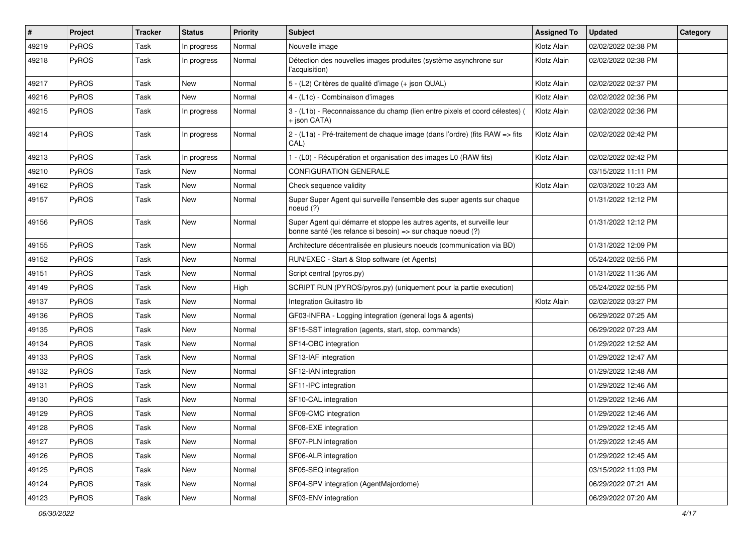| $\sharp$ | Project      | <b>Tracker</b> | <b>Status</b> | <b>Priority</b> | Subject                                                                                                                               | <b>Assigned To</b> | <b>Updated</b>      | Category |
|----------|--------------|----------------|---------------|-----------------|---------------------------------------------------------------------------------------------------------------------------------------|--------------------|---------------------|----------|
| 49219    | PyROS        | Task           | In progress   | Normal          | Nouvelle image                                                                                                                        | Klotz Alain        | 02/02/2022 02:38 PM |          |
| 49218    | PyROS        | Task           | In progress   | Normal          | Détection des nouvelles images produites (système asynchrone sur<br>l'acquisition)                                                    | Klotz Alain        | 02/02/2022 02:38 PM |          |
| 49217    | PyROS        | Task           | New           | Normal          | 5 - (L2) Critères de qualité d'image (+ json QUAL)                                                                                    | Klotz Alain        | 02/02/2022 02:37 PM |          |
| 49216    | PyROS        | Task           | New           | Normal          | 4 - (L1c) - Combinaison d'images                                                                                                      | Klotz Alain        | 02/02/2022 02:36 PM |          |
| 49215    | PyROS        | Task           | In progress   | Normal          | 3 - (L1b) - Reconnaissance du champ (lien entre pixels et coord célestes)<br>+ json CATA)                                             | Klotz Alain        | 02/02/2022 02:36 PM |          |
| 49214    | PyROS        | Task           | In progress   | Normal          | 2 - (L1a) - Pré-traitement de chaque image (dans l'ordre) (fits RAW => fits<br>CAL)                                                   | Klotz Alain        | 02/02/2022 02:42 PM |          |
| 49213    | PyROS        | Task           | In progress   | Normal          | 1 - (L0) - Récupération et organisation des images L0 (RAW fits)                                                                      | Klotz Alain        | 02/02/2022 02:42 PM |          |
| 49210    | <b>PyROS</b> | Task           | New           | Normal          | <b>CONFIGURATION GENERALE</b>                                                                                                         |                    | 03/15/2022 11:11 PM |          |
| 49162    | PyROS        | Task           | New           | Normal          | Check sequence validity                                                                                                               | Klotz Alain        | 02/03/2022 10:23 AM |          |
| 49157    | PyROS        | Task           | New           | Normal          | Super Super Agent qui surveille l'ensemble des super agents sur chaque<br>noeud $(?)$                                                 |                    | 01/31/2022 12:12 PM |          |
| 49156    | PyROS        | Task           | New           | Normal          | Super Agent qui démarre et stoppe les autres agents, et surveille leur<br>bonne santé (les relance si besoin) => sur chaque noeud (?) |                    | 01/31/2022 12:12 PM |          |
| 49155    | PyROS        | Task           | New           | Normal          | Architecture décentralisée en plusieurs noeuds (communication via BD)                                                                 |                    | 01/31/2022 12:09 PM |          |
| 49152    | PyROS        | Task           | New           | Normal          | RUN/EXEC - Start & Stop software (et Agents)                                                                                          |                    | 05/24/2022 02:55 PM |          |
| 49151    | PyROS        | Task           | New           | Normal          | Script central (pyros.py)                                                                                                             |                    | 01/31/2022 11:36 AM |          |
| 49149    | PyROS        | Task           | New           | High            | SCRIPT RUN (PYROS/pyros.py) (uniquement pour la partie execution)                                                                     |                    | 05/24/2022 02:55 PM |          |
| 49137    | PyROS        | Task           | New           | Normal          | Integration Guitastro lib                                                                                                             | Klotz Alain        | 02/02/2022 03:27 PM |          |
| 49136    | PyROS        | Task           | New           | Normal          | GF03-INFRA - Logging integration (general logs & agents)                                                                              |                    | 06/29/2022 07:25 AM |          |
| 49135    | PyROS        | Task           | New           | Normal          | SF15-SST integration (agents, start, stop, commands)                                                                                  |                    | 06/29/2022 07:23 AM |          |
| 49134    | PyROS        | Task           | New           | Normal          | SF14-OBC integration                                                                                                                  |                    | 01/29/2022 12:52 AM |          |
| 49133    | PyROS        | Task           | New           | Normal          | SF13-IAF integration                                                                                                                  |                    | 01/29/2022 12:47 AM |          |
| 49132    | PyROS        | Task           | New           | Normal          | SF12-IAN integration                                                                                                                  |                    | 01/29/2022 12:48 AM |          |
| 49131    | <b>PyROS</b> | Task           | New           | Normal          | SF11-IPC integration                                                                                                                  |                    | 01/29/2022 12:46 AM |          |
| 49130    | PyROS        | Task           | New           | Normal          | SF10-CAL integration                                                                                                                  |                    | 01/29/2022 12:46 AM |          |
| 49129    | PyROS        | Task           | New           | Normal          | SF09-CMC integration                                                                                                                  |                    | 01/29/2022 12:46 AM |          |
| 49128    | PyROS        | Task           | New           | Normal          | SF08-EXE integration                                                                                                                  |                    | 01/29/2022 12:45 AM |          |
| 49127    | PyROS        | Task           | New           | Normal          | SF07-PLN integration                                                                                                                  |                    | 01/29/2022 12:45 AM |          |
| 49126    | PyROS        | Task           | New           | Normal          | SF06-ALR integration                                                                                                                  |                    | 01/29/2022 12:45 AM |          |
| 49125    | PyROS        | Task           | New           | Normal          | SF05-SEQ integration                                                                                                                  |                    | 03/15/2022 11:03 PM |          |
| 49124    | PyROS        | Task           | New           | Normal          | SF04-SPV integration (AgentMajordome)                                                                                                 |                    | 06/29/2022 07:21 AM |          |
| 49123    | PyROS        | Task           | New           | Normal          | SF03-ENV integration                                                                                                                  |                    | 06/29/2022 07:20 AM |          |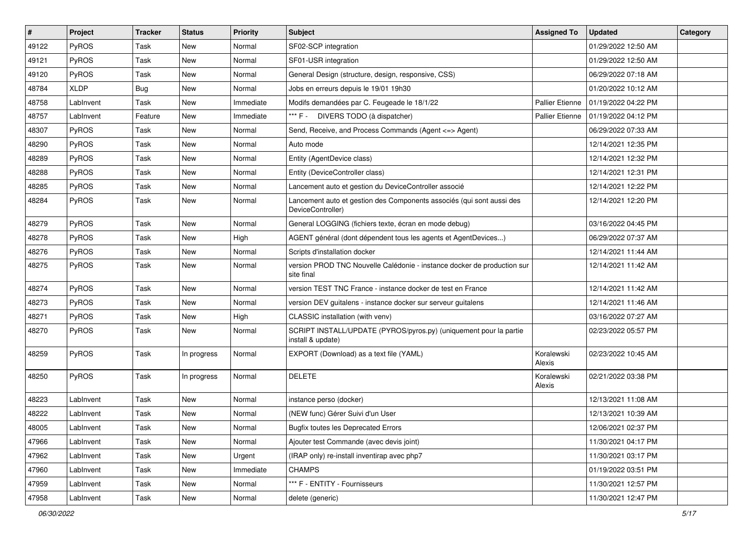| $\vert$ # | Project      | <b>Tracker</b> | <b>Status</b> | <b>Priority</b> | Subject                                                                                    | <b>Assigned To</b>     | <b>Updated</b>      | Category |
|-----------|--------------|----------------|---------------|-----------------|--------------------------------------------------------------------------------------------|------------------------|---------------------|----------|
| 49122     | PyROS        | Task           | New           | Normal          | SF02-SCP integration                                                                       |                        | 01/29/2022 12:50 AM |          |
| 49121     | PyROS        | Task           | <b>New</b>    | Normal          | SF01-USR integration                                                                       |                        | 01/29/2022 12:50 AM |          |
| 49120     | PyROS        | Task           | New           | Normal          | General Design (structure, design, responsive, CSS)                                        |                        | 06/29/2022 07:18 AM |          |
| 48784     | <b>XLDP</b>  | <b>Bug</b>     | <b>New</b>    | Normal          | Jobs en erreurs depuis le 19/01 19h30                                                      |                        | 01/20/2022 10:12 AM |          |
| 48758     | LabInvent    | Task           | <b>New</b>    | Immediate       | Modifs demandées par C. Feugeade le 18/1/22                                                | <b>Pallier Etienne</b> | 01/19/2022 04:22 PM |          |
| 48757     | LabInvent    | Feature        | New           | Immediate       | *** F - DIVERS TODO (à dispatcher)                                                         | <b>Pallier Etienne</b> | 01/19/2022 04:12 PM |          |
| 48307     | PyROS        | Task           | <b>New</b>    | Normal          | Send, Receive, and Process Commands (Agent <= > Agent)                                     |                        | 06/29/2022 07:33 AM |          |
| 48290     | PyROS        | Task           | <b>New</b>    | Normal          | Auto mode                                                                                  |                        | 12/14/2021 12:35 PM |          |
| 48289     | PyROS        | Task           | New           | Normal          | Entity (AgentDevice class)                                                                 |                        | 12/14/2021 12:32 PM |          |
| 48288     | PyROS        | Task           | New           | Normal          | Entity (DeviceController class)                                                            |                        | 12/14/2021 12:31 PM |          |
| 48285     | <b>PyROS</b> | Task           | New           | Normal          | Lancement auto et gestion du DeviceController associé                                      |                        | 12/14/2021 12:22 PM |          |
| 48284     | PyROS        | Task           | New           | Normal          | Lancement auto et gestion des Components associés (qui sont aussi des<br>DeviceController) |                        | 12/14/2021 12:20 PM |          |
| 48279     | <b>PyROS</b> | Task           | New           | Normal          | General LOGGING (fichiers texte, écran en mode debug)                                      |                        | 03/16/2022 04:45 PM |          |
| 48278     | PyROS        | Task           | <b>New</b>    | High            | AGENT général (dont dépendent tous les agents et AgentDevices)                             |                        | 06/29/2022 07:37 AM |          |
| 48276     | PyROS        | Task           | New           | Normal          | Scripts d'installation docker                                                              |                        | 12/14/2021 11:44 AM |          |
| 48275     | PyROS        | Task           | New           | Normal          | version PROD TNC Nouvelle Calédonie - instance docker de production sur<br>site final      |                        | 12/14/2021 11:42 AM |          |
| 48274     | PyROS        | Task           | New           | Normal          | version TEST TNC France - instance docker de test en France                                |                        | 12/14/2021 11:42 AM |          |
| 48273     | PyROS        | Task           | <b>New</b>    | Normal          | version DEV guitalens - instance docker sur serveur guitalens                              |                        | 12/14/2021 11:46 AM |          |
| 48271     | PyROS        | Task           | <b>New</b>    | High            | CLASSIC installation (with venv)                                                           |                        | 03/16/2022 07:27 AM |          |
| 48270     | PyROS        | Task           | New           | Normal          | SCRIPT INSTALL/UPDATE (PYROS/pyros.py) (uniquement pour la partie<br>install & update)     |                        | 02/23/2022 05:57 PM |          |
| 48259     | PyROS        | Task           | In progress   | Normal          | EXPORT (Download) as a text file (YAML)                                                    | Koralewski<br>Alexis   | 02/23/2022 10:45 AM |          |
| 48250     | PyROS        | Task           | In progress   | Normal          | <b>DELETE</b>                                                                              | Koralewski<br>Alexis   | 02/21/2022 03:38 PM |          |
| 48223     | LabInvent    | Task           | <b>New</b>    | Normal          | instance perso (docker)                                                                    |                        | 12/13/2021 11:08 AM |          |
| 48222     | LabInvent    | Task           | <b>New</b>    | Normal          | (NEW func) Gérer Suivi d'un User                                                           |                        | 12/13/2021 10:39 AM |          |
| 48005     | LabInvent    | Task           | New           | Normal          | <b>Bugfix toutes les Deprecated Errors</b>                                                 |                        | 12/06/2021 02:37 PM |          |
| 47966     | LabInvent    | Task           | New           | Normal          | Ajouter test Commande (avec devis joint)                                                   |                        | 11/30/2021 04:17 PM |          |
| 47962     | LabInvent    | Task           | New           | Urgent          | (IRAP only) re-install inventirap avec php7                                                |                        | 11/30/2021 03:17 PM |          |
| 47960     | LabInvent    | Task           | New           | Immediate       | <b>CHAMPS</b>                                                                              |                        | 01/19/2022 03:51 PM |          |
| 47959     | LabInvent    | Task           | New           | Normal          | *** F - ENTITY - Fournisseurs                                                              |                        | 11/30/2021 12:57 PM |          |
| 47958     | LabInvent    | Task           | New           | Normal          | delete (generic)                                                                           |                        | 11/30/2021 12:47 PM |          |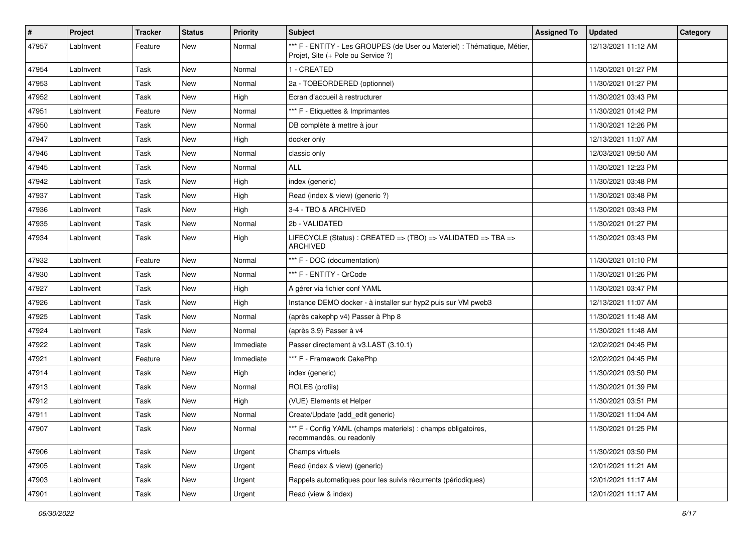| #     | Project   | <b>Tracker</b> | <b>Status</b> | <b>Priority</b> | Subject                                                                                                        | <b>Assigned To</b> | <b>Updated</b>      | Category |
|-------|-----------|----------------|---------------|-----------------|----------------------------------------------------------------------------------------------------------------|--------------------|---------------------|----------|
| 47957 | LabInvent | Feature        | <b>New</b>    | Normal          | *** F - ENTITY - Les GROUPES (de User ou Materiel) : Thématique, Métier,<br>Projet, Site (+ Pole ou Service ?) |                    | 12/13/2021 11:12 AM |          |
| 47954 | LabInvent | Task           | <b>New</b>    | Normal          | 1 - CREATED                                                                                                    |                    | 11/30/2021 01:27 PM |          |
| 47953 | LabInvent | Task           | New           | Normal          | 2a - TOBEORDERED (optionnel)                                                                                   |                    | 11/30/2021 01:27 PM |          |
| 47952 | LabInvent | Task           | <b>New</b>    | High            | Ecran d'accueil à restructurer                                                                                 |                    | 11/30/2021 03:43 PM |          |
| 47951 | LabInvent | Feature        | New           | Normal          | *** F - Etiquettes & Imprimantes                                                                               |                    | 11/30/2021 01:42 PM |          |
| 47950 | LabInvent | Task           | New           | Normal          | DB complète à mettre à jour                                                                                    |                    | 11/30/2021 12:26 PM |          |
| 47947 | LabInvent | Task           | New           | High            | docker only                                                                                                    |                    | 12/13/2021 11:07 AM |          |
| 47946 | LabInvent | Task           | New           | Normal          | classic only                                                                                                   |                    | 12/03/2021 09:50 AM |          |
| 47945 | LabInvent | Task           | New           | Normal          | <b>ALL</b>                                                                                                     |                    | 11/30/2021 12:23 PM |          |
| 47942 | LabInvent | Task           | New           | High            | index (generic)                                                                                                |                    | 11/30/2021 03:48 PM |          |
| 47937 | LabInvent | Task           | New           | High            | Read (index & view) (generic ?)                                                                                |                    | 11/30/2021 03:48 PM |          |
| 47936 | LabInvent | Task           | New           | High            | 3-4 - TBO & ARCHIVED                                                                                           |                    | 11/30/2021 03:43 PM |          |
| 47935 | LabInvent | Task           | New           | Normal          | 2b - VALIDATED                                                                                                 |                    | 11/30/2021 01:27 PM |          |
| 47934 | LabInvent | Task           | New           | High            | LIFECYCLE (Status) : CREATED => (TBO) => VALIDATED => TBA =><br><b>ARCHIVED</b>                                |                    | 11/30/2021 03:43 PM |          |
| 47932 | LabInvent | Feature        | New           | Normal          | *** F - DOC (documentation)                                                                                    |                    | 11/30/2021 01:10 PM |          |
| 47930 | LabInvent | Task           | New           | Normal          | *** F - ENTITY - QrCode                                                                                        |                    | 11/30/2021 01:26 PM |          |
| 47927 | LabInvent | Task           | New           | High            | A gérer via fichier conf YAML                                                                                  |                    | 11/30/2021 03:47 PM |          |
| 47926 | LabInvent | Task           | <b>New</b>    | High            | Instance DEMO docker - à installer sur hyp2 puis sur VM pweb3                                                  |                    | 12/13/2021 11:07 AM |          |
| 47925 | LabInvent | Task           | New           | Normal          | (après cakephp v4) Passer à Php 8                                                                              |                    | 11/30/2021 11:48 AM |          |
| 47924 | LabInvent | Task           | New           | Normal          | (après 3.9) Passer à v4                                                                                        |                    | 11/30/2021 11:48 AM |          |
| 47922 | LabInvent | Task           | New           | Immediate       | Passer directement à v3.LAST (3.10.1)                                                                          |                    | 12/02/2021 04:45 PM |          |
| 47921 | LabInvent | Feature        | New           | Immediate       | *** F - Framework CakePhp                                                                                      |                    | 12/02/2021 04:45 PM |          |
| 47914 | LabInvent | Task           | New           | High            | index (generic)                                                                                                |                    | 11/30/2021 03:50 PM |          |
| 47913 | LabInvent | Task           | New           | Normal          | ROLES (profils)                                                                                                |                    | 11/30/2021 01:39 PM |          |
| 47912 | LabInvent | Task           | New           | High            | (VUE) Elements et Helper                                                                                       |                    | 11/30/2021 03:51 PM |          |
| 47911 | LabInvent | Task           | New           | Normal          | Create/Update (add_edit generic)                                                                               |                    | 11/30/2021 11:04 AM |          |
| 47907 | LabInvent | Task           | New           | Normal          | *** F - Config YAML (champs materiels) : champs obligatoires,<br>recommandés, ou readonly                      |                    | 11/30/2021 01:25 PM |          |
| 47906 | LabInvent | Task           | New           | Urgent          | Champs virtuels                                                                                                |                    | 11/30/2021 03:50 PM |          |
| 47905 | LabInvent | Task           | New           | Urgent          | Read (index & view) (generic)                                                                                  |                    | 12/01/2021 11:21 AM |          |
| 47903 | LabInvent | Task           | New           | Urgent          | Rappels automatiques pour les suivis récurrents (périodiques)                                                  |                    | 12/01/2021 11:17 AM |          |
| 47901 | LabInvent | Task           | New           | Urgent          | Read (view & index)                                                                                            |                    | 12/01/2021 11:17 AM |          |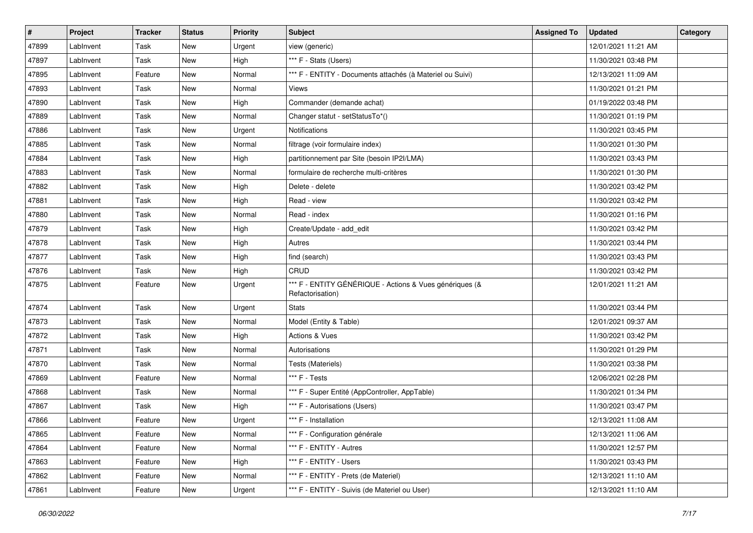| #     | Project   | <b>Tracker</b> | <b>Status</b> | <b>Priority</b> | Subject                                                                     | <b>Assigned To</b> | <b>Updated</b>      | Category |
|-------|-----------|----------------|---------------|-----------------|-----------------------------------------------------------------------------|--------------------|---------------------|----------|
| 47899 | LabInvent | Task           | New           | Urgent          | view (generic)                                                              |                    | 12/01/2021 11:21 AM |          |
| 47897 | LabInvent | Task           | New           | High            | *** F - Stats (Users)                                                       |                    | 11/30/2021 03:48 PM |          |
| 47895 | LabInvent | Feature        | New           | Normal          | *** F - ENTITY - Documents attachés (à Materiel ou Suivi)                   |                    | 12/13/2021 11:09 AM |          |
| 47893 | LabInvent | Task           | New           | Normal          | Views                                                                       |                    | 11/30/2021 01:21 PM |          |
| 47890 | LabInvent | Task           | New           | High            | Commander (demande achat)                                                   |                    | 01/19/2022 03:48 PM |          |
| 47889 | LabInvent | Task           | New           | Normal          | Changer statut - setStatusTo*()                                             |                    | 11/30/2021 01:19 PM |          |
| 47886 | LabInvent | Task           | <b>New</b>    | Urgent          | Notifications                                                               |                    | 11/30/2021 03:45 PM |          |
| 47885 | LabInvent | Task           | New           | Normal          | filtrage (voir formulaire index)                                            |                    | 11/30/2021 01:30 PM |          |
| 47884 | LabInvent | Task           | New           | High            | partitionnement par Site (besoin IP2I/LMA)                                  |                    | 11/30/2021 03:43 PM |          |
| 47883 | LabInvent | Task           | New           | Normal          | formulaire de recherche multi-critères                                      |                    | 11/30/2021 01:30 PM |          |
| 47882 | LabInvent | Task           | New           | High            | Delete - delete                                                             |                    | 11/30/2021 03:42 PM |          |
| 47881 | LabInvent | Task           | New           | High            | Read - view                                                                 |                    | 11/30/2021 03:42 PM |          |
| 47880 | LabInvent | Task           | New           | Normal          | Read - index                                                                |                    | 11/30/2021 01:16 PM |          |
| 47879 | LabInvent | Task           | New           | High            | Create/Update - add edit                                                    |                    | 11/30/2021 03:42 PM |          |
| 47878 | LabInvent | Task           | New           | High            | Autres                                                                      |                    | 11/30/2021 03:44 PM |          |
| 47877 | LabInvent | Task           | New           | High            | find (search)                                                               |                    | 11/30/2021 03:43 PM |          |
| 47876 | LabInvent | Task           | New           | High            | CRUD                                                                        |                    | 11/30/2021 03:42 PM |          |
| 47875 | LabInvent | Feature        | New           | Urgent          | *** F - ENTITY GÉNÉRIQUE - Actions & Vues génériques (&<br>Refactorisation) |                    | 12/01/2021 11:21 AM |          |
| 47874 | LabInvent | Task           | New           | Urgent          | <b>Stats</b>                                                                |                    | 11/30/2021 03:44 PM |          |
| 47873 | LabInvent | Task           | New           | Normal          | Model (Entity & Table)                                                      |                    | 12/01/2021 09:37 AM |          |
| 47872 | LabInvent | Task           | New           | High            | Actions & Vues                                                              |                    | 11/30/2021 03:42 PM |          |
| 47871 | LabInvent | Task           | New           | Normal          | Autorisations                                                               |                    | 11/30/2021 01:29 PM |          |
| 47870 | LabInvent | Task           | New           | Normal          | Tests (Materiels)                                                           |                    | 11/30/2021 03:38 PM |          |
| 47869 | LabInvent | Feature        | New           | Normal          | *** F - Tests                                                               |                    | 12/06/2021 02:28 PM |          |
| 47868 | LabInvent | Task           | New           | Normal          | *** F - Super Entité (AppController, AppTable)                              |                    | 11/30/2021 01:34 PM |          |
| 47867 | LabInvent | Task           | New           | High            | *** F - Autorisations (Users)                                               |                    | 11/30/2021 03:47 PM |          |
| 47866 | LabInvent | Feature        | New           | Urgent          | *** F - Installation                                                        |                    | 12/13/2021 11:08 AM |          |
| 47865 | LabInvent | Feature        | New           | Normal          | *** F - Configuration générale                                              |                    | 12/13/2021 11:06 AM |          |
| 47864 | LabInvent | Feature        | New           | Normal          | *** F - ENTITY - Autres                                                     |                    | 11/30/2021 12:57 PM |          |
| 47863 | LabInvent | Feature        | New           | High            | *** F - ENTITY - Users                                                      |                    | 11/30/2021 03:43 PM |          |
| 47862 | LabInvent | Feature        | New           | Normal          | *** F - ENTITY - Prets (de Materiel)                                        |                    | 12/13/2021 11:10 AM |          |
| 47861 | LabInvent | Feature        | New           | Urgent          | *** F - ENTITY - Suivis (de Materiel ou User)                               |                    | 12/13/2021 11:10 AM |          |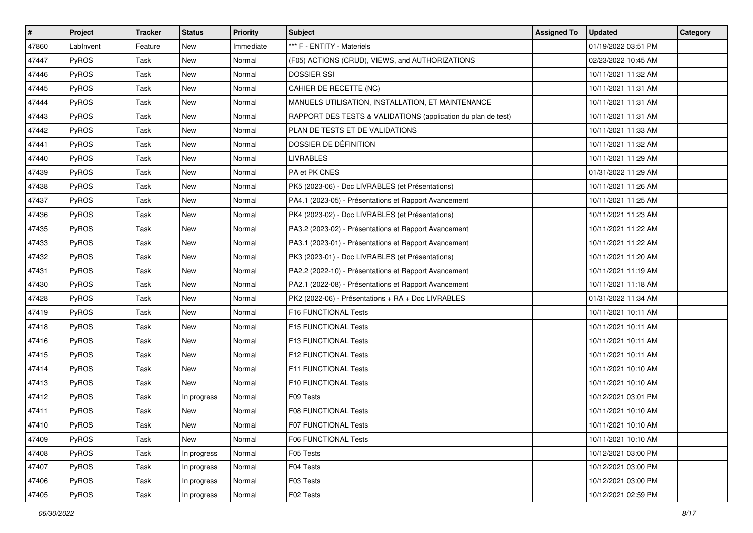| #     | Project      | <b>Tracker</b> | <b>Status</b> | Priority  | Subject                                                       | <b>Assigned To</b> | <b>Updated</b>      | Category |
|-------|--------------|----------------|---------------|-----------|---------------------------------------------------------------|--------------------|---------------------|----------|
| 47860 | LabInvent    | Feature        | New           | Immediate | *** F - ENTITY - Materiels                                    |                    | 01/19/2022 03:51 PM |          |
| 47447 | PyROS        | Task           | New           | Normal    | (F05) ACTIONS (CRUD), VIEWS, and AUTHORIZATIONS               |                    | 02/23/2022 10:45 AM |          |
| 47446 | <b>PyROS</b> | Task           | New           | Normal    | <b>DOSSIER SSI</b>                                            |                    | 10/11/2021 11:32 AM |          |
| 47445 | PyROS        | Task           | New           | Normal    | CAHIER DE RECETTE (NC)                                        |                    | 10/11/2021 11:31 AM |          |
| 47444 | PyROS        | Task           | New           | Normal    | MANUELS UTILISATION, INSTALLATION, ET MAINTENANCE             |                    | 10/11/2021 11:31 AM |          |
| 47443 | PyROS        | Task           | New           | Normal    | RAPPORT DES TESTS & VALIDATIONS (application du plan de test) |                    | 10/11/2021 11:31 AM |          |
| 47442 | PyROS        | Task           | <b>New</b>    | Normal    | PLAN DE TESTS ET DE VALIDATIONS                               |                    | 10/11/2021 11:33 AM |          |
| 47441 | PyROS        | Task           | New           | Normal    | DOSSIER DE DÉFINITION                                         |                    | 10/11/2021 11:32 AM |          |
| 47440 | PyROS        | Task           | New           | Normal    | <b>LIVRABLES</b>                                              |                    | 10/11/2021 11:29 AM |          |
| 47439 | PyROS        | Task           | New           | Normal    | PA et PK CNES                                                 |                    | 01/31/2022 11:29 AM |          |
| 47438 | <b>PyROS</b> | Task           | New           | Normal    | PK5 (2023-06) - Doc LIVRABLES (et Présentations)              |                    | 10/11/2021 11:26 AM |          |
| 47437 | PyROS        | Task           | <b>New</b>    | Normal    | PA4.1 (2023-05) - Présentations et Rapport Avancement         |                    | 10/11/2021 11:25 AM |          |
| 47436 | PyROS        | Task           | New           | Normal    | PK4 (2023-02) - Doc LIVRABLES (et Présentations)              |                    | 10/11/2021 11:23 AM |          |
| 47435 | PyROS        | Task           | New           | Normal    | PA3.2 (2023-02) - Présentations et Rapport Avancement         |                    | 10/11/2021 11:22 AM |          |
| 47433 | PyROS        | Task           | New           | Normal    | PA3.1 (2023-01) - Présentations et Rapport Avancement         |                    | 10/11/2021 11:22 AM |          |
| 47432 | <b>PyROS</b> | Task           | New           | Normal    | PK3 (2023-01) - Doc LIVRABLES (et Présentations)              |                    | 10/11/2021 11:20 AM |          |
| 47431 | PyROS        | Task           | New           | Normal    | PA2.2 (2022-10) - Présentations et Rapport Avancement         |                    | 10/11/2021 11:19 AM |          |
| 47430 | PyROS        | Task           | New           | Normal    | PA2.1 (2022-08) - Présentations et Rapport Avancement         |                    | 10/11/2021 11:18 AM |          |
| 47428 | PyROS        | Task           | New           | Normal    | PK2 (2022-06) - Présentations + RA + Doc LIVRABLES            |                    | 01/31/2022 11:34 AM |          |
| 47419 | PyROS        | Task           | New           | Normal    | F16 FUNCTIONAL Tests                                          |                    | 10/11/2021 10:11 AM |          |
| 47418 | PyROS        | Task           | New           | Normal    | F15 FUNCTIONAL Tests                                          |                    | 10/11/2021 10:11 AM |          |
| 47416 | PyROS        | Task           | New           | Normal    | F13 FUNCTIONAL Tests                                          |                    | 10/11/2021 10:11 AM |          |
| 47415 | PyROS        | Task           | New           | Normal    | F12 FUNCTIONAL Tests                                          |                    | 10/11/2021 10:11 AM |          |
| 47414 | PyROS        | Task           | New           | Normal    | F11 FUNCTIONAL Tests                                          |                    | 10/11/2021 10:10 AM |          |
| 47413 | PyROS        | Task           | <b>New</b>    | Normal    | F10 FUNCTIONAL Tests                                          |                    | 10/11/2021 10:10 AM |          |
| 47412 | PyROS        | Task           | In progress   | Normal    | F09 Tests                                                     |                    | 10/12/2021 03:01 PM |          |
| 47411 | PyROS        | Task           | New           | Normal    | <b>F08 FUNCTIONAL Tests</b>                                   |                    | 10/11/2021 10:10 AM |          |
| 47410 | PyROS        | Task           | New           | Normal    | F07 FUNCTIONAL Tests                                          |                    | 10/11/2021 10:10 AM |          |
| 47409 | PyROS        | Task           | New           | Normal    | F06 FUNCTIONAL Tests                                          |                    | 10/11/2021 10:10 AM |          |
| 47408 | PyROS        | Task           | In progress   | Normal    | F05 Tests                                                     |                    | 10/12/2021 03:00 PM |          |
| 47407 | PyROS        | Task           | In progress   | Normal    | F04 Tests                                                     |                    | 10/12/2021 03:00 PM |          |
| 47406 | PyROS        | Task           | In progress   | Normal    | F03 Tests                                                     |                    | 10/12/2021 03:00 PM |          |
| 47405 | PyROS        | Task           | In progress   | Normal    | F02 Tests                                                     |                    | 10/12/2021 02:59 PM |          |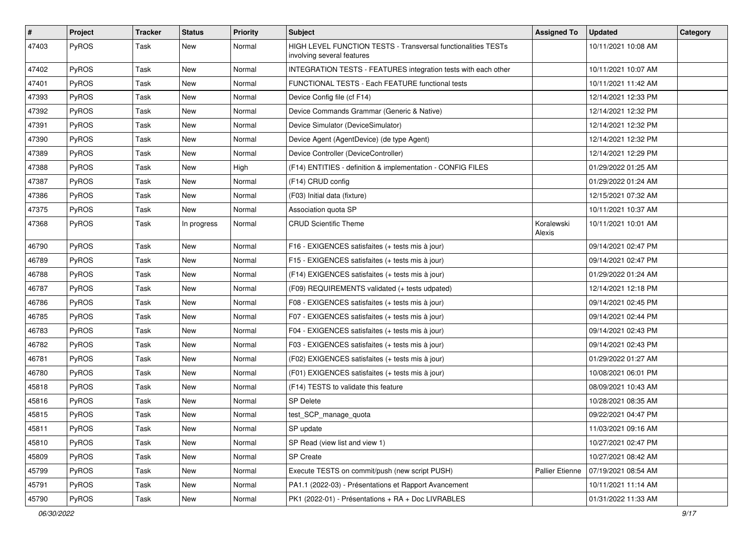| #     | Project      | <b>Tracker</b> | <b>Status</b> | <b>Priority</b> | Subject                                                                                     | <b>Assigned To</b>     | <b>Updated</b>      | Category |
|-------|--------------|----------------|---------------|-----------------|---------------------------------------------------------------------------------------------|------------------------|---------------------|----------|
| 47403 | PyROS        | Task           | New           | Normal          | HIGH LEVEL FUNCTION TESTS - Transversal functionalities TESTs<br>involving several features |                        | 10/11/2021 10:08 AM |          |
| 47402 | PyROS        | Task           | New           | Normal          | INTEGRATION TESTS - FEATURES integration tests with each other                              |                        | 10/11/2021 10:07 AM |          |
| 47401 | PyROS        | Task           | New           | Normal          | FUNCTIONAL TESTS - Each FEATURE functional tests                                            |                        | 10/11/2021 11:42 AM |          |
| 47393 | PyROS        | Task           | New           | Normal          | Device Config file (cf F14)                                                                 |                        | 12/14/2021 12:33 PM |          |
| 47392 | PyROS        | Task           | New           | Normal          | Device Commands Grammar (Generic & Native)                                                  |                        | 12/14/2021 12:32 PM |          |
| 47391 | PyROS        | Task           | New           | Normal          | Device Simulator (DeviceSimulator)                                                          |                        | 12/14/2021 12:32 PM |          |
| 47390 | PyROS        | Task           | New           | Normal          | Device Agent (AgentDevice) (de type Agent)                                                  |                        | 12/14/2021 12:32 PM |          |
| 47389 | PyROS        | Task           | New           | Normal          | Device Controller (DeviceController)                                                        |                        | 12/14/2021 12:29 PM |          |
| 47388 | PyROS        | Task           | New           | High            | (F14) ENTITIES - definition & implementation - CONFIG FILES                                 |                        | 01/29/2022 01:25 AM |          |
| 47387 | <b>PyROS</b> | Task           | New           | Normal          | (F14) CRUD config                                                                           |                        | 01/29/2022 01:24 AM |          |
| 47386 | PyROS        | Task           | New           | Normal          | (F03) Initial data (fixture)                                                                |                        | 12/15/2021 07:32 AM |          |
| 47375 | PyROS        | Task           | New           | Normal          | Association quota SP                                                                        |                        | 10/11/2021 10:37 AM |          |
| 47368 | PyROS        | Task           | In progress   | Normal          | <b>CRUD Scientific Theme</b>                                                                | Koralewski<br>Alexis   | 10/11/2021 10:01 AM |          |
| 46790 | PyROS        | Task           | New           | Normal          | F16 - EXIGENCES satisfaites (+ tests mis à jour)                                            |                        | 09/14/2021 02:47 PM |          |
| 46789 | PyROS        | Task           | New           | Normal          | F15 - EXIGENCES satisfaites (+ tests mis à jour)                                            |                        | 09/14/2021 02:47 PM |          |
| 46788 | PyROS        | Task           | New           | Normal          | (F14) EXIGENCES satisfaites (+ tests mis à jour)                                            |                        | 01/29/2022 01:24 AM |          |
| 46787 | PyROS        | Task           | New           | Normal          | (F09) REQUIREMENTS validated (+ tests udpated)                                              |                        | 12/14/2021 12:18 PM |          |
| 46786 | PyROS        | Task           | New           | Normal          | F08 - EXIGENCES satisfaites (+ tests mis à jour)                                            |                        | 09/14/2021 02:45 PM |          |
| 46785 | PyROS        | Task           | New           | Normal          | F07 - EXIGENCES satisfaites (+ tests mis à jour)                                            |                        | 09/14/2021 02:44 PM |          |
| 46783 | PyROS        | Task           | New           | Normal          | F04 - EXIGENCES satisfaites (+ tests mis à jour)                                            |                        | 09/14/2021 02:43 PM |          |
| 46782 | PyROS        | Task           | New           | Normal          | F03 - EXIGENCES satisfaites (+ tests mis à jour)                                            |                        | 09/14/2021 02:43 PM |          |
| 46781 | PyROS        | Task           | New           | Normal          | (F02) EXIGENCES satisfaites (+ tests mis à jour)                                            |                        | 01/29/2022 01:27 AM |          |
| 46780 | PyROS        | Task           | New           | Normal          | (F01) EXIGENCES satisfaites (+ tests mis à jour)                                            |                        | 10/08/2021 06:01 PM |          |
| 45818 | PyROS        | Task           | <b>New</b>    | Normal          | (F14) TESTS to validate this feature                                                        |                        | 08/09/2021 10:43 AM |          |
| 45816 | PyROS        | Task           | New           | Normal          | <b>SP Delete</b>                                                                            |                        | 10/28/2021 08:35 AM |          |
| 45815 | PyROS        | Task           | New           | Normal          | test_SCP_manage_quota                                                                       |                        | 09/22/2021 04:47 PM |          |
| 45811 | PyROS        | Task           | New           | Normal          | SP update                                                                                   |                        | 11/03/2021 09:16 AM |          |
| 45810 | PyROS        | Task           | New           | Normal          | SP Read (view list and view 1)                                                              |                        | 10/27/2021 02:47 PM |          |
| 45809 | PyROS        | Task           | New           | Normal          | SP Create                                                                                   |                        | 10/27/2021 08:42 AM |          |
| 45799 | PyROS        | Task           | New           | Normal          | Execute TESTS on commit/push (new script PUSH)                                              | <b>Pallier Etienne</b> | 07/19/2021 08:54 AM |          |
| 45791 | PyROS        | Task           | New           | Normal          | PA1.1 (2022-03) - Présentations et Rapport Avancement                                       |                        | 10/11/2021 11:14 AM |          |
| 45790 | PyROS        | Task           | New           | Normal          | PK1 (2022-01) - Présentations + RA + Doc LIVRABLES                                          |                        | 01/31/2022 11:33 AM |          |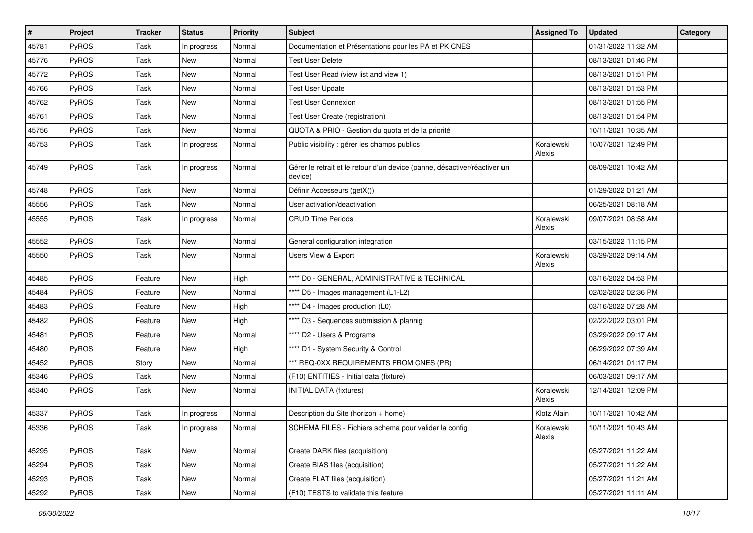| $\sharp$ | Project      | <b>Tracker</b> | <b>Status</b> | <b>Priority</b> | <b>Subject</b>                                                                       | <b>Assigned To</b>   | <b>Updated</b>      | Category |
|----------|--------------|----------------|---------------|-----------------|--------------------------------------------------------------------------------------|----------------------|---------------------|----------|
| 45781    | PyROS        | Task           | In progress   | Normal          | Documentation et Présentations pour les PA et PK CNES                                |                      | 01/31/2022 11:32 AM |          |
| 45776    | PyROS        | Task           | New           | Normal          | <b>Test User Delete</b>                                                              |                      | 08/13/2021 01:46 PM |          |
| 45772    | PyROS        | Task           | New           | Normal          | Test User Read (view list and view 1)                                                |                      | 08/13/2021 01:51 PM |          |
| 45766    | PyROS        | Task           | <b>New</b>    | Normal          | <b>Test User Update</b>                                                              |                      | 08/13/2021 01:53 PM |          |
| 45762    | PyROS        | Task           | <b>New</b>    | Normal          | <b>Test User Connexion</b>                                                           |                      | 08/13/2021 01:55 PM |          |
| 45761    | <b>PyROS</b> | Task           | New           | Normal          | Test User Create (registration)                                                      |                      | 08/13/2021 01:54 PM |          |
| 45756    | PyROS        | Task           | New           | Normal          | QUOTA & PRIO - Gestion du quota et de la priorité                                    |                      | 10/11/2021 10:35 AM |          |
| 45753    | PyROS        | Task           | In progress   | Normal          | Public visibility : gérer les champs publics                                         | Koralewski<br>Alexis | 10/07/2021 12:49 PM |          |
| 45749    | PyROS        | Task           | In progress   | Normal          | Gérer le retrait et le retour d'un device (panne, désactiver/réactiver un<br>device) |                      | 08/09/2021 10:42 AM |          |
| 45748    | PyROS        | Task           | New           | Normal          | Définir Accesseurs (getX())                                                          |                      | 01/29/2022 01:21 AM |          |
| 45556    | PyROS        | Task           | <b>New</b>    | Normal          | User activation/deactivation                                                         |                      | 06/25/2021 08:18 AM |          |
| 45555    | <b>PyROS</b> | Task           | In progress   | Normal          | <b>CRUD Time Periods</b>                                                             | Koralewski<br>Alexis | 09/07/2021 08:58 AM |          |
| 45552    | PyROS        | Task           | New           | Normal          | General configuration integration                                                    |                      | 03/15/2022 11:15 PM |          |
| 45550    | PyROS        | Task           | New           | Normal          | Users View & Export                                                                  | Koralewski<br>Alexis | 03/29/2022 09:14 AM |          |
| 45485    | PyROS        | Feature        | New           | High            | **** D0 - GENERAL, ADMINISTRATIVE & TECHNICAL                                        |                      | 03/16/2022 04:53 PM |          |
| 45484    | PyROS        | Feature        | New           | Normal          | **** D5 - Images management (L1-L2)                                                  |                      | 02/02/2022 02:36 PM |          |
| 45483    | PyROS        | Feature        | New           | High            | **** D4 - Images production (L0)                                                     |                      | 03/16/2022 07:28 AM |          |
| 45482    | <b>PyROS</b> | Feature        | New           | High            | **** D3 - Sequences submission & plannig                                             |                      | 02/22/2022 03:01 PM |          |
| 45481    | PyROS        | Feature        | New           | Normal          | **** D2 - Users & Programs                                                           |                      | 03/29/2022 09:17 AM |          |
| 45480    | PyROS        | Feature        | New           | High            | **** D1 - System Security & Control                                                  |                      | 06/29/2022 07:39 AM |          |
| 45452    | PyROS        | Story          | New           | Normal          | *** REQ-0XX REQUIREMENTS FROM CNES (PR)                                              |                      | 06/14/2021 01:17 PM |          |
| 45346    | PyROS        | Task           | New           | Normal          | (F10) ENTITIES - Initial data (fixture)                                              |                      | 06/03/2021 09:17 AM |          |
| 45340    | PyROS        | Task           | New           | Normal          | <b>INITIAL DATA (fixtures)</b>                                                       | Koralewski<br>Alexis | 12/14/2021 12:09 PM |          |
| 45337    | PyROS        | Task           | In progress   | Normal          | Description du Site (horizon + home)                                                 | Klotz Alain          | 10/11/2021 10:42 AM |          |
| 45336    | PyROS        | Task           | In progress   | Normal          | SCHEMA FILES - Fichiers schema pour valider la config                                | Koralewski<br>Alexis | 10/11/2021 10:43 AM |          |
| 45295    | PyROS        | Task           | New           | Normal          | Create DARK files (acquisition)                                                      |                      | 05/27/2021 11:22 AM |          |
| 45294    | PyROS        | Task           | New           | Normal          | Create BIAS files (acquisition)                                                      |                      | 05/27/2021 11:22 AM |          |
| 45293    | PyROS        | Task           | New           | Normal          | Create FLAT files (acquisition)                                                      |                      | 05/27/2021 11:21 AM |          |
| 45292    | PyROS        | Task           | New           | Normal          | (F10) TESTS to validate this feature                                                 |                      | 05/27/2021 11:11 AM |          |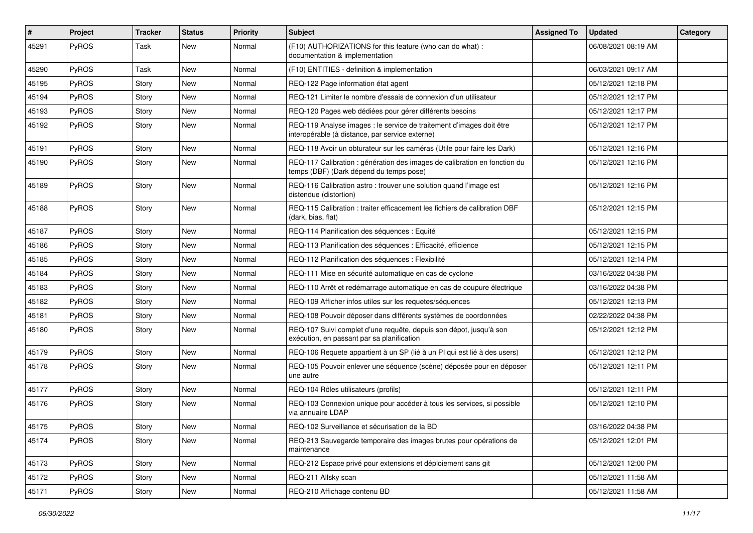| #     | Project      | <b>Tracker</b> | <b>Status</b> | <b>Priority</b> | <b>Subject</b>                                                                                                          | <b>Assigned To</b> | <b>Updated</b>      | Category |
|-------|--------------|----------------|---------------|-----------------|-------------------------------------------------------------------------------------------------------------------------|--------------------|---------------------|----------|
| 45291 | PyROS        | Task           | New           | Normal          | (F10) AUTHORIZATIONS for this feature (who can do what) :<br>documentation & implementation                             |                    | 06/08/2021 08:19 AM |          |
| 45290 | PyROS        | Task           | New           | Normal          | (F10) ENTITIES - definition & implementation                                                                            |                    | 06/03/2021 09:17 AM |          |
| 45195 | PyROS        | Story          | New           | Normal          | REQ-122 Page information état agent                                                                                     |                    | 05/12/2021 12:18 PM |          |
| 45194 | PyROS        | Story          | <b>New</b>    | Normal          | REQ-121 Limiter le nombre d'essais de connexion d'un utilisateur                                                        |                    | 05/12/2021 12:17 PM |          |
| 45193 | PyROS        | Story          | <b>New</b>    | Normal          | REQ-120 Pages web dédiées pour gérer différents besoins                                                                 |                    | 05/12/2021 12:17 PM |          |
| 45192 | <b>PyROS</b> | Story          | New           | Normal          | REQ-119 Analyse images : le service de traitement d'images doit être<br>interopérable (à distance, par service externe) |                    | 05/12/2021 12:17 PM |          |
| 45191 | PyROS        | Story          | <b>New</b>    | Normal          | REQ-118 Avoir un obturateur sur les caméras (Utile pour faire les Dark)                                                 |                    | 05/12/2021 12:16 PM |          |
| 45190 | PyROS        | Story          | <b>New</b>    | Normal          | REQ-117 Calibration : génération des images de calibration en fonction du<br>temps (DBF) (Dark dépend du temps pose)    |                    | 05/12/2021 12:16 PM |          |
| 45189 | PyROS        | Story          | New           | Normal          | REQ-116 Calibration astro: trouver une solution quand l'image est<br>distendue (distortion)                             |                    | 05/12/2021 12:16 PM |          |
| 45188 | PyROS        | Story          | New           | Normal          | REQ-115 Calibration : traiter efficacement les fichiers de calibration DBF<br>(dark, bias, flat)                        |                    | 05/12/2021 12:15 PM |          |
| 45187 | PyROS        | Story          | New           | Normal          | REQ-114 Planification des séquences : Equité                                                                            |                    | 05/12/2021 12:15 PM |          |
| 45186 | PyROS        | Story          | <b>New</b>    | Normal          | REQ-113 Planification des séquences : Efficacité, efficience                                                            |                    | 05/12/2021 12:15 PM |          |
| 45185 | PyROS        | Story          | <b>New</b>    | Normal          | REQ-112 Planification des séquences : Flexibilité                                                                       |                    | 05/12/2021 12:14 PM |          |
| 45184 | PyROS        | Story          | New           | Normal          | REQ-111 Mise en sécurité automatique en cas de cyclone                                                                  |                    | 03/16/2022 04:38 PM |          |
| 45183 | PyROS        | Story          | New           | Normal          | REQ-110 Arrêt et redémarrage automatique en cas de coupure électrique                                                   |                    | 03/16/2022 04:38 PM |          |
| 45182 | PyROS        | Story          | <b>New</b>    | Normal          | REQ-109 Afficher infos utiles sur les requetes/séquences                                                                |                    | 05/12/2021 12:13 PM |          |
| 45181 | PyROS        | Story          | <b>New</b>    | Normal          | REQ-108 Pouvoir déposer dans différents systèmes de coordonnées                                                         |                    | 02/22/2022 04:38 PM |          |
| 45180 | PyROS        | Story          | New           | Normal          | REQ-107 Suivi complet d'une requête, depuis son dépot, jusqu'à son<br>exécution, en passant par sa planification        |                    | 05/12/2021 12:12 PM |          |
| 45179 | PyROS        | Story          | <b>New</b>    | Normal          | REQ-106 Requete appartient à un SP (lié à un PI qui est lié à des users)                                                |                    | 05/12/2021 12:12 PM |          |
| 45178 | PyROS        | Story          | <b>New</b>    | Normal          | REQ-105 Pouvoir enlever une séquence (scène) déposée pour en déposer<br>une autre                                       |                    | 05/12/2021 12:11 PM |          |
| 45177 | PyROS        | Story          | <b>New</b>    | Normal          | REQ-104 Rôles utilisateurs (profils)                                                                                    |                    | 05/12/2021 12:11 PM |          |
| 45176 | PyROS        | Story          | <b>New</b>    | Normal          | REQ-103 Connexion unique pour accéder à tous les services, si possible<br>via annuaire LDAP                             |                    | 05/12/2021 12:10 PM |          |
| 45175 | PyROS        | Story          | New           | Normal          | REQ-102 Surveillance et sécurisation de la BD                                                                           |                    | 03/16/2022 04:38 PM |          |
| 45174 | PyROS        | Story          | New           | Normal          | REQ-213 Sauvegarde temporaire des images brutes pour opérations de<br>maintenance                                       |                    | 05/12/2021 12:01 PM |          |
| 45173 | PyROS        | Story          | New           | Normal          | REQ-212 Espace privé pour extensions et déploiement sans git                                                            |                    | 05/12/2021 12:00 PM |          |
| 45172 | PyROS        | Story          | New           | Normal          | REQ-211 Allsky scan                                                                                                     |                    | 05/12/2021 11:58 AM |          |
| 45171 | PyROS        | Story          | New           | Normal          | REQ-210 Affichage contenu BD                                                                                            |                    | 05/12/2021 11:58 AM |          |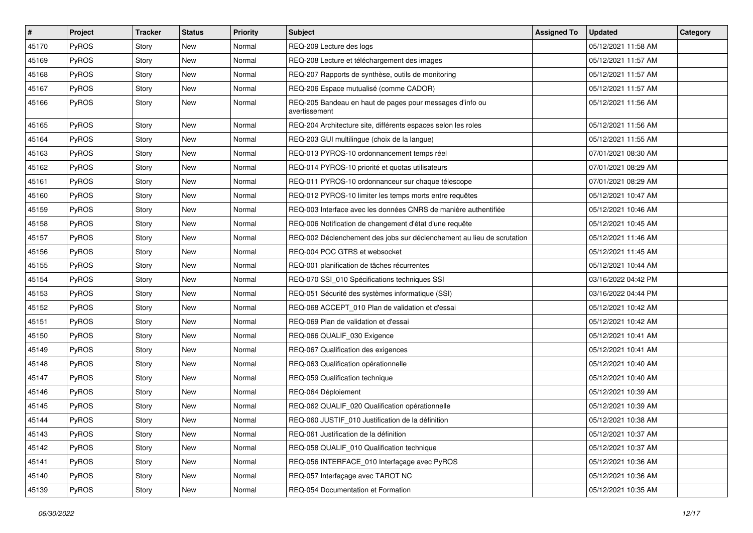| #     | <b>Project</b> | <b>Tracker</b> | <b>Status</b> | <b>Priority</b> | <b>Subject</b>                                                            | <b>Assigned To</b> | <b>Updated</b>      | Category |
|-------|----------------|----------------|---------------|-----------------|---------------------------------------------------------------------------|--------------------|---------------------|----------|
| 45170 | PyROS          | Story          | New           | Normal          | REQ-209 Lecture des logs                                                  |                    | 05/12/2021 11:58 AM |          |
| 45169 | PyROS          | Story          | New           | Normal          | REQ-208 Lecture et téléchargement des images                              |                    | 05/12/2021 11:57 AM |          |
| 45168 | PyROS          | Story          | New           | Normal          | REQ-207 Rapports de synthèse, outils de monitoring                        |                    | 05/12/2021 11:57 AM |          |
| 45167 | PyROS          | Story          | New           | Normal          | REQ-206 Espace mutualisé (comme CADOR)                                    |                    | 05/12/2021 11:57 AM |          |
| 45166 | PyROS          | Story          | New           | Normal          | REQ-205 Bandeau en haut de pages pour messages d'info ou<br>avertissement |                    | 05/12/2021 11:56 AM |          |
| 45165 | PyROS          | Story          | New           | Normal          | REQ-204 Architecture site, différents espaces selon les roles             |                    | 05/12/2021 11:56 AM |          |
| 45164 | PyROS          | Story          | New           | Normal          | REQ-203 GUI multilingue (choix de la langue)                              |                    | 05/12/2021 11:55 AM |          |
| 45163 | PyROS          | Story          | New           | Normal          | REQ-013 PYROS-10 ordonnancement temps réel                                |                    | 07/01/2021 08:30 AM |          |
| 45162 | PyROS          | Story          | New           | Normal          | REQ-014 PYROS-10 priorité et quotas utilisateurs                          |                    | 07/01/2021 08:29 AM |          |
| 45161 | PyROS          | Story          | New           | Normal          | REQ-011 PYROS-10 ordonnanceur sur chaque télescope                        |                    | 07/01/2021 08:29 AM |          |
| 45160 | PyROS          | Story          | New           | Normal          | REQ-012 PYROS-10 limiter les temps morts entre requêtes                   |                    | 05/12/2021 10:47 AM |          |
| 45159 | PyROS          | Story          | New           | Normal          | REQ-003 Interface avec les données CNRS de manière authentifiée           |                    | 05/12/2021 10:46 AM |          |
| 45158 | PyROS          | Story          | New           | Normal          | REQ-006 Notification de changement d'état d'une requête                   |                    | 05/12/2021 10:45 AM |          |
| 45157 | PyROS          | Story          | New           | Normal          | REQ-002 Déclenchement des jobs sur déclenchement au lieu de scrutation    |                    | 05/12/2021 11:46 AM |          |
| 45156 | <b>PyROS</b>   | Story          | New           | Normal          | REQ-004 POC GTRS et websocket                                             |                    | 05/12/2021 11:45 AM |          |
| 45155 | PyROS          | Story          | New           | Normal          | REQ-001 planification de tâches récurrentes                               |                    | 05/12/2021 10:44 AM |          |
| 45154 | PyROS          | Story          | New           | Normal          | REQ-070 SSI 010 Spécifications techniques SSI                             |                    | 03/16/2022 04:42 PM |          |
| 45153 | PyROS          | Story          | New           | Normal          | REQ-051 Sécurité des systèmes informatique (SSI)                          |                    | 03/16/2022 04:44 PM |          |
| 45152 | PyROS          | Story          | New           | Normal          | REQ-068 ACCEPT_010 Plan de validation et d'essai                          |                    | 05/12/2021 10:42 AM |          |
| 45151 | PyROS          | Story          | New           | Normal          | REQ-069 Plan de validation et d'essai                                     |                    | 05/12/2021 10:42 AM |          |
| 45150 | PyROS          | Story          | New           | Normal          | REQ-066 QUALIF_030 Exigence                                               |                    | 05/12/2021 10:41 AM |          |
| 45149 | PyROS          | Story          | New           | Normal          | REQ-067 Qualification des exigences                                       |                    | 05/12/2021 10:41 AM |          |
| 45148 | PyROS          | Story          | New           | Normal          | REQ-063 Qualification opérationnelle                                      |                    | 05/12/2021 10:40 AM |          |
| 45147 | PyROS          | Story          | New           | Normal          | REQ-059 Qualification technique                                           |                    | 05/12/2021 10:40 AM |          |
| 45146 | PyROS          | Story          | New           | Normal          | REQ-064 Déploiement                                                       |                    | 05/12/2021 10:39 AM |          |
| 45145 | PyROS          | Story          | New           | Normal          | REQ-062 QUALIF_020 Qualification opérationnelle                           |                    | 05/12/2021 10:39 AM |          |
| 45144 | PyROS          | Story          | New           | Normal          | REQ-060 JUSTIF_010 Justification de la définition                         |                    | 05/12/2021 10:38 AM |          |
| 45143 | PyROS          | Story          | New           | Normal          | REQ-061 Justification de la définition                                    |                    | 05/12/2021 10:37 AM |          |
| 45142 | PyROS          | Story          | New           | Normal          | REQ-058 QUALIF_010 Qualification technique                                |                    | 05/12/2021 10:37 AM |          |
| 45141 | PyROS          | Story          | New           | Normal          | REQ-056 INTERFACE 010 Interfaçage avec PyROS                              |                    | 05/12/2021 10:36 AM |          |
| 45140 | PyROS          | Story          | New           | Normal          | REQ-057 Interfaçage avec TAROT NC                                         |                    | 05/12/2021 10:36 AM |          |
| 45139 | PyROS          | Story          | New           | Normal          | REQ-054 Documentation et Formation                                        |                    | 05/12/2021 10:35 AM |          |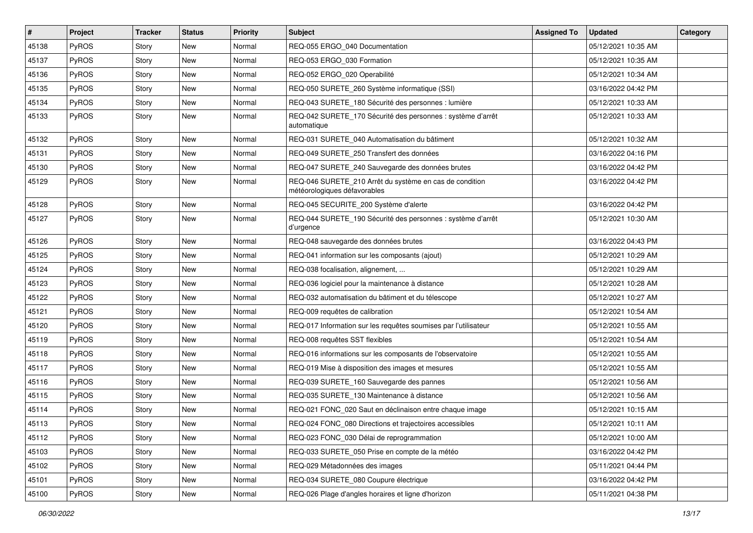| #     | Project      | <b>Tracker</b> | <b>Status</b> | <b>Priority</b> | <b>Subject</b>                                                                          | <b>Assigned To</b> | <b>Updated</b>      | Category |
|-------|--------------|----------------|---------------|-----------------|-----------------------------------------------------------------------------------------|--------------------|---------------------|----------|
| 45138 | PyROS        | Story          | New           | Normal          | REQ-055 ERGO_040 Documentation                                                          |                    | 05/12/2021 10:35 AM |          |
| 45137 | PyROS        | Story          | New           | Normal          | REQ-053 ERGO_030 Formation                                                              |                    | 05/12/2021 10:35 AM |          |
| 45136 | <b>PyROS</b> | Story          | New           | Normal          | REQ-052 ERGO_020 Operabilité                                                            |                    | 05/12/2021 10:34 AM |          |
| 45135 | PyROS        | Story          | New           | Normal          | REQ-050 SURETE_260 Système informatique (SSI)                                           |                    | 03/16/2022 04:42 PM |          |
| 45134 | PyROS        | Story          | New           | Normal          | REQ-043 SURETE_180 Sécurité des personnes : lumière                                     |                    | 05/12/2021 10:33 AM |          |
| 45133 | PyROS        | Story          | New           | Normal          | REQ-042 SURETE_170 Sécurité des personnes : système d'arrêt<br>automatique              |                    | 05/12/2021 10:33 AM |          |
| 45132 | PyROS        | Story          | New           | Normal          | REQ-031 SURETE 040 Automatisation du bâtiment                                           |                    | 05/12/2021 10:32 AM |          |
| 45131 | PyROS        | Story          | New           | Normal          | REQ-049 SURETE 250 Transfert des données                                                |                    | 03/16/2022 04:16 PM |          |
| 45130 | PyROS        | Story          | New           | Normal          | REQ-047 SURETE_240 Sauvegarde des données brutes                                        |                    | 03/16/2022 04:42 PM |          |
| 45129 | <b>PyROS</b> | Story          | New           | Normal          | REQ-046 SURETE_210 Arrêt du système en cas de condition<br>météorologiques défavorables |                    | 03/16/2022 04:42 PM |          |
| 45128 | PyROS        | Story          | New           | Normal          | REQ-045 SECURITE_200 Système d'alerte                                                   |                    | 03/16/2022 04:42 PM |          |
| 45127 | PyROS        | Story          | New           | Normal          | REQ-044 SURETE_190 Sécurité des personnes : système d'arrêt<br>d'urgence                |                    | 05/12/2021 10:30 AM |          |
| 45126 | PyROS        | Story          | New           | Normal          | REQ-048 sauvegarde des données brutes                                                   |                    | 03/16/2022 04:43 PM |          |
| 45125 | PyROS        | Story          | New           | Normal          | REQ-041 information sur les composants (ajout)                                          |                    | 05/12/2021 10:29 AM |          |
| 45124 | PyROS        | Story          | <b>New</b>    | Normal          | REQ-038 focalisation, alignement,                                                       |                    | 05/12/2021 10:29 AM |          |
| 45123 | PyROS        | Story          | New           | Normal          | REQ-036 logiciel pour la maintenance à distance                                         |                    | 05/12/2021 10:28 AM |          |
| 45122 | PyROS        | Story          | New           | Normal          | REQ-032 automatisation du bâtiment et du télescope                                      |                    | 05/12/2021 10:27 AM |          |
| 45121 | PyROS        | Story          | New           | Normal          | REQ-009 requêtes de calibration                                                         |                    | 05/12/2021 10:54 AM |          |
| 45120 | PyROS        | Story          | New           | Normal          | REQ-017 Information sur les requêtes soumises par l'utilisateur                         |                    | 05/12/2021 10:55 AM |          |
| 45119 | PyROS        | Story          | New           | Normal          | REQ-008 requêtes SST flexibles                                                          |                    | 05/12/2021 10:54 AM |          |
| 45118 | <b>PyROS</b> | Story          | New           | Normal          | REQ-016 informations sur les composants de l'observatoire                               |                    | 05/12/2021 10:55 AM |          |
| 45117 | PyROS        | Story          | New           | Normal          | REQ-019 Mise à disposition des images et mesures                                        |                    | 05/12/2021 10:55 AM |          |
| 45116 | PyROS        | Story          | New           | Normal          | REQ-039 SURETE 160 Sauvegarde des pannes                                                |                    | 05/12/2021 10:56 AM |          |
| 45115 | PyROS        | Story          | New           | Normal          | REQ-035 SURETE_130 Maintenance à distance                                               |                    | 05/12/2021 10:56 AM |          |
| 45114 | PyROS        | Story          | <b>New</b>    | Normal          | REQ-021 FONC 020 Saut en déclinaison entre chaque image                                 |                    | 05/12/2021 10:15 AM |          |
| 45113 | PyROS        | Story          | New           | Normal          | REQ-024 FONC 080 Directions et trajectoires accessibles                                 |                    | 05/12/2021 10:11 AM |          |
| 45112 | PyROS        | Story          | New           | Normal          | REQ-023 FONC_030 Délai de reprogrammation                                               |                    | 05/12/2021 10:00 AM |          |
| 45103 | PyROS        | Story          | New           | Normal          | REQ-033 SURETE_050 Prise en compte de la météo                                          |                    | 03/16/2022 04:42 PM |          |
| 45102 | PyROS        | Story          | New           | Normal          | REQ-029 Métadonnées des images                                                          |                    | 05/11/2021 04:44 PM |          |
| 45101 | PyROS        | Story          | New           | Normal          | REQ-034 SURETE_080 Coupure électrique                                                   |                    | 03/16/2022 04:42 PM |          |
| 45100 | PyROS        | Story          | New           | Normal          | REQ-026 Plage d'angles horaires et ligne d'horizon                                      |                    | 05/11/2021 04:38 PM |          |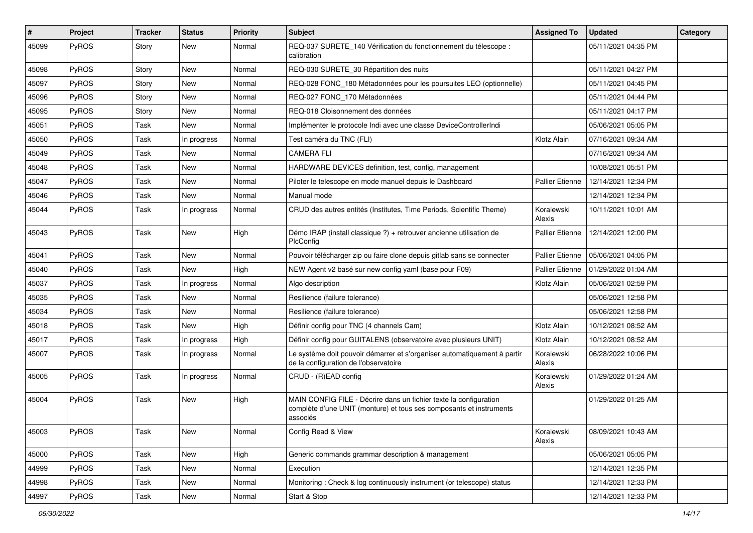| ∦     | Project      | <b>Tracker</b> | <b>Status</b> | <b>Priority</b> | <b>Subject</b>                                                                                                                                       | <b>Assigned To</b>     | <b>Updated</b>      | Category |
|-------|--------------|----------------|---------------|-----------------|------------------------------------------------------------------------------------------------------------------------------------------------------|------------------------|---------------------|----------|
| 45099 | PyROS        | Story          | New           | Normal          | REQ-037 SURETE_140 Vérification du fonctionnement du télescope :<br>calibration                                                                      |                        | 05/11/2021 04:35 PM |          |
| 45098 | PyROS        | Story          | <b>New</b>    | Normal          | REQ-030 SURETE_30 Répartition des nuits                                                                                                              |                        | 05/11/2021 04:27 PM |          |
| 45097 | PyROS        | Story          | New           | Normal          | REQ-028 FONC_180 Métadonnées pour les poursuites LEO (optionnelle)                                                                                   |                        | 05/11/2021 04:45 PM |          |
| 45096 | PyROS        | Story          | <b>New</b>    | Normal          | REQ-027 FONC_170 Métadonnées                                                                                                                         |                        | 05/11/2021 04:44 PM |          |
| 45095 | PyROS        | Story          | New           | Normal          | REQ-018 Cloisonnement des données                                                                                                                    |                        | 05/11/2021 04:17 PM |          |
| 45051 | PyROS        | Task           | <b>New</b>    | Normal          | Implémenter le protocole Indi avec une classe DeviceControllerIndi                                                                                   |                        | 05/06/2021 05:05 PM |          |
| 45050 | PyROS        | Task           | In progress   | Normal          | Test caméra du TNC (FLI)                                                                                                                             | Klotz Alain            | 07/16/2021 09:34 AM |          |
| 45049 | PyROS        | Task           | <b>New</b>    | Normal          | <b>CAMERA FLI</b>                                                                                                                                    |                        | 07/16/2021 09:34 AM |          |
| 45048 | PyROS        | Task           | New           | Normal          | HARDWARE DEVICES definition, test, config, management                                                                                                |                        | 10/08/2021 05:51 PM |          |
| 45047 | <b>PyROS</b> | Task           | New           | Normal          | Piloter le telescope en mode manuel depuis le Dashboard                                                                                              | <b>Pallier Etienne</b> | 12/14/2021 12:34 PM |          |
| 45046 | PyROS        | Task           | New           | Normal          | Manual mode                                                                                                                                          |                        | 12/14/2021 12:34 PM |          |
| 45044 | PyROS        | Task           | In progress   | Normal          | CRUD des autres entités (Institutes, Time Periods, Scientific Theme)                                                                                 | Koralewski<br>Alexis   | 10/11/2021 10:01 AM |          |
| 45043 | PyROS        | Task           | <b>New</b>    | High            | Démo IRAP (install classique ?) + retrouver ancienne utilisation de<br>PlcConfig                                                                     | <b>Pallier Etienne</b> | 12/14/2021 12:00 PM |          |
| 45041 | PyROS        | Task           | <b>New</b>    | Normal          | Pouvoir télécharger zip ou faire clone depuis gitlab sans se connecter                                                                               | Pallier Etienne        | 05/06/2021 04:05 PM |          |
| 45040 | PyROS        | Task           | <b>New</b>    | High            | NEW Agent v2 basé sur new config yaml (base pour F09)                                                                                                | Pallier Etienne        | 01/29/2022 01:04 AM |          |
| 45037 | PyROS        | Task           | In progress   | Normal          | Algo description                                                                                                                                     | Klotz Alain            | 05/06/2021 02:59 PM |          |
| 45035 | PyROS        | Task           | New           | Normal          | Resilience (failure tolerance)                                                                                                                       |                        | 05/06/2021 12:58 PM |          |
| 45034 | PyROS        | Task           | New           | Normal          | Resilience (failure tolerance)                                                                                                                       |                        | 05/06/2021 12:58 PM |          |
| 45018 | PyROS        | Task           | <b>New</b>    | High            | Définir config pour TNC (4 channels Cam)                                                                                                             | Klotz Alain            | 10/12/2021 08:52 AM |          |
| 45017 | PyROS        | Task           | In progress   | High            | Définir config pour GUITALENS (observatoire avec plusieurs UNIT)                                                                                     | Klotz Alain            | 10/12/2021 08:52 AM |          |
| 45007 | PyROS        | Task           | In progress   | Normal          | Le système doit pouvoir démarrer et s'organiser automatiquement à partir<br>de la configuration de l'observatoire                                    | Koralewski<br>Alexis   | 06/28/2022 10:06 PM |          |
| 45005 | PyROS        | Task           | In progress   | Normal          | CRUD - (R)EAD config                                                                                                                                 | Koralewski<br>Alexis   | 01/29/2022 01:24 AM |          |
| 45004 | PyROS        | Task           | New           | High            | MAIN CONFIG FILE - Décrire dans un fichier texte la configuration<br>complète d'une UNIT (monture) et tous ses composants et instruments<br>associés |                        | 01/29/2022 01:25 AM |          |
| 45003 | PyROS        | Task           | New           | Normal          | Config Read & View                                                                                                                                   | Koralewski<br>Alexis   | 08/09/2021 10:43 AM |          |
| 45000 | PyROS        | Task           | New           | High            | Generic commands grammar description & management                                                                                                    |                        | 05/06/2021 05:05 PM |          |
| 44999 | PyROS        | Task           | New           | Normal          | Execution                                                                                                                                            |                        | 12/14/2021 12:35 PM |          |
| 44998 | PyROS        | Task           | New           | Normal          | Monitoring: Check & log continuously instrument (or telescope) status                                                                                |                        | 12/14/2021 12:33 PM |          |
| 44997 | PyROS        | Task           | New           | Normal          | Start & Stop                                                                                                                                         |                        | 12/14/2021 12:33 PM |          |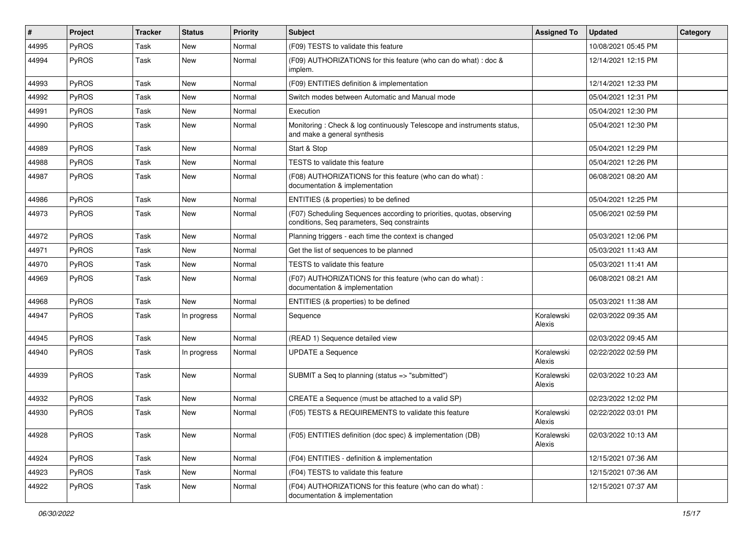| #     | Project      | <b>Tracker</b> | <b>Status</b> | <b>Priority</b> | <b>Subject</b>                                                                                                       | <b>Assigned To</b>   | <b>Updated</b>      | Category |
|-------|--------------|----------------|---------------|-----------------|----------------------------------------------------------------------------------------------------------------------|----------------------|---------------------|----------|
| 44995 | PyROS        | Task           | <b>New</b>    | Normal          | (F09) TESTS to validate this feature                                                                                 |                      | 10/08/2021 05:45 PM |          |
| 44994 | PyROS        | Task           | <b>New</b>    | Normal          | (F09) AUTHORIZATIONS for this feature (who can do what) : doc &<br>implem.                                           |                      | 12/14/2021 12:15 PM |          |
| 44993 | PyROS        | Task           | <b>New</b>    | Normal          | (F09) ENTITIES definition & implementation                                                                           |                      | 12/14/2021 12:33 PM |          |
| 44992 | PyROS        | Task           | <b>New</b>    | Normal          | Switch modes between Automatic and Manual mode                                                                       |                      | 05/04/2021 12:31 PM |          |
| 44991 | <b>PyROS</b> | Task           | New           | Normal          | Execution                                                                                                            |                      | 05/04/2021 12:30 PM |          |
| 44990 | PyROS        | Task           | <b>New</b>    | Normal          | Monitoring: Check & log continuously Telescope and instruments status,<br>and make a general synthesis               |                      | 05/04/2021 12:30 PM |          |
| 44989 | PyROS        | Task           | <b>New</b>    | Normal          | Start & Stop                                                                                                         |                      | 05/04/2021 12:29 PM |          |
| 44988 | PyROS        | Task           | <b>New</b>    | Normal          | TESTS to validate this feature                                                                                       |                      | 05/04/2021 12:26 PM |          |
| 44987 | PyROS        | Task           | New           | Normal          | (F08) AUTHORIZATIONS for this feature (who can do what) :<br>documentation & implementation                          |                      | 06/08/2021 08:20 AM |          |
| 44986 | PyROS        | Task           | <b>New</b>    | Normal          | ENTITIES (& properties) to be defined                                                                                |                      | 05/04/2021 12:25 PM |          |
| 44973 | PyROS        | Task           | New           | Normal          | (F07) Scheduling Sequences according to priorities, quotas, observing<br>conditions, Seq parameters, Seq constraints |                      | 05/06/2021 02:59 PM |          |
| 44972 | PyROS        | Task           | <b>New</b>    | Normal          | Planning triggers - each time the context is changed                                                                 |                      | 05/03/2021 12:06 PM |          |
| 44971 | PyROS        | Task           | <b>New</b>    | Normal          | Get the list of sequences to be planned                                                                              |                      | 05/03/2021 11:43 AM |          |
| 44970 | PyROS        | Task           | <b>New</b>    | Normal          | TESTS to validate this feature                                                                                       |                      | 05/03/2021 11:41 AM |          |
| 44969 | PyROS        | Task           | New           | Normal          | (F07) AUTHORIZATIONS for this feature (who can do what) :<br>documentation & implementation                          |                      | 06/08/2021 08:21 AM |          |
| 44968 | PyROS        | Task           | <b>New</b>    | Normal          | ENTITIES (& properties) to be defined                                                                                |                      | 05/03/2021 11:38 AM |          |
| 44947 | PyROS        | Task           | In progress   | Normal          | Sequence                                                                                                             | Koralewski<br>Alexis | 02/03/2022 09:35 AM |          |
| 44945 | PyROS        | Task           | <b>New</b>    | Normal          | (READ 1) Sequence detailed view                                                                                      |                      | 02/03/2022 09:45 AM |          |
| 44940 | PyROS        | Task           | In progress   | Normal          | <b>UPDATE a Sequence</b>                                                                                             | Koralewski<br>Alexis | 02/22/2022 02:59 PM |          |
| 44939 | PyROS        | Task           | New           | Normal          | SUBMIT a Seq to planning (status => "submitted")                                                                     | Koralewski<br>Alexis | 02/03/2022 10:23 AM |          |
| 44932 | PyROS        | Task           | <b>New</b>    | Normal          | CREATE a Sequence (must be attached to a valid SP)                                                                   |                      | 02/23/2022 12:02 PM |          |
| 44930 | PyROS        | Task           | New           | Normal          | (F05) TESTS & REQUIREMENTS to validate this feature                                                                  | Koralewski<br>Alexis | 02/22/2022 03:01 PM |          |
| 44928 | PyROS        | Task           | New           | Normal          | (F05) ENTITIES definition (doc spec) & implementation (DB)                                                           | Koralewski<br>Alexis | 02/03/2022 10:13 AM |          |
| 44924 | PyROS        | Task           | New           | Normal          | (F04) ENTITIES - definition & implementation                                                                         |                      | 12/15/2021 07:36 AM |          |
| 44923 | PyROS        | Task           | New           | Normal          | (F04) TESTS to validate this feature                                                                                 |                      | 12/15/2021 07:36 AM |          |
| 44922 | PyROS        | Task           | New           | Normal          | (F04) AUTHORIZATIONS for this feature (who can do what) :<br>documentation & implementation                          |                      | 12/15/2021 07:37 AM |          |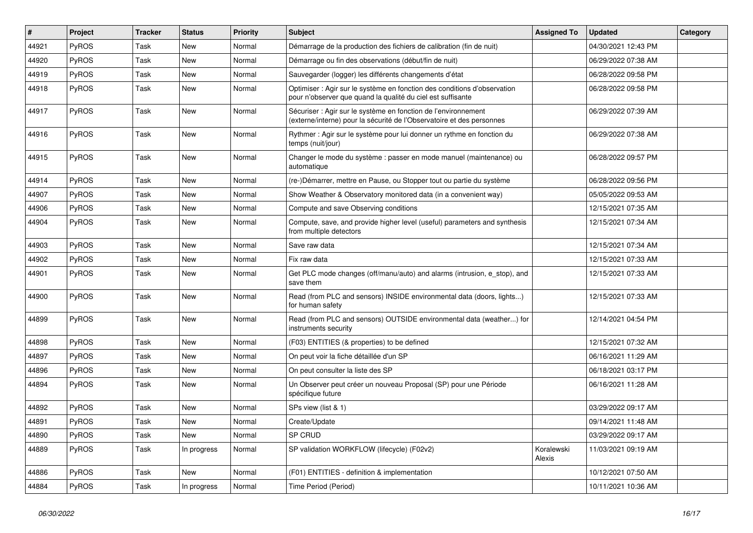| #     | Project      | <b>Tracker</b> | <b>Status</b> | <b>Priority</b> | <b>Subject</b>                                                                                                                          | <b>Assigned To</b>   | <b>Updated</b>      | Category |
|-------|--------------|----------------|---------------|-----------------|-----------------------------------------------------------------------------------------------------------------------------------------|----------------------|---------------------|----------|
| 44921 | PyROS        | Task           | <b>New</b>    | Normal          | Démarrage de la production des fichiers de calibration (fin de nuit)                                                                    |                      | 04/30/2021 12:43 PM |          |
| 44920 | PyROS        | Task           | New           | Normal          | Démarrage ou fin des observations (début/fin de nuit)                                                                                   |                      | 06/29/2022 07:38 AM |          |
| 44919 | <b>PyROS</b> | Task           | New           | Normal          | Sauvegarder (logger) les différents changements d'état                                                                                  |                      | 06/28/2022 09:58 PM |          |
| 44918 | PyROS        | Task           | New           | Normal          | Optimiser : Agir sur le système en fonction des conditions d'observation<br>pour n'observer que quand la qualité du ciel est suffisante |                      | 06/28/2022 09:58 PM |          |
| 44917 | PyROS        | Task           | New           | Normal          | Sécuriser : Agir sur le système en fonction de l'environnement<br>(externe/interne) pour la sécurité de l'Observatoire et des personnes |                      | 06/29/2022 07:39 AM |          |
| 44916 | PyROS        | Task           | New           | Normal          | Rythmer: Agir sur le système pour lui donner un rythme en fonction du<br>temps (nuit/jour)                                              |                      | 06/29/2022 07:38 AM |          |
| 44915 | PyROS        | Task           | New           | Normal          | Changer le mode du système : passer en mode manuel (maintenance) ou<br>automatique                                                      |                      | 06/28/2022 09:57 PM |          |
| 44914 | PyROS        | Task           | New           | Normal          | (re-)Démarrer, mettre en Pause, ou Stopper tout ou partie du système                                                                    |                      | 06/28/2022 09:56 PM |          |
| 44907 | PyROS        | Task           | <b>New</b>    | Normal          | Show Weather & Observatory monitored data (in a convenient way)                                                                         |                      | 05/05/2022 09:53 AM |          |
| 44906 | <b>PyROS</b> | Task           | New           | Normal          | Compute and save Observing conditions                                                                                                   |                      | 12/15/2021 07:35 AM |          |
| 44904 | PyROS        | Task           | New           | Normal          | Compute, save, and provide higher level (useful) parameters and synthesis<br>from multiple detectors                                    |                      | 12/15/2021 07:34 AM |          |
| 44903 | PyROS        | Task           | New           | Normal          | Save raw data                                                                                                                           |                      | 12/15/2021 07:34 AM |          |
| 44902 | PyROS        | Task           | New           | Normal          | Fix raw data                                                                                                                            |                      | 12/15/2021 07:33 AM |          |
| 44901 | <b>PyROS</b> | Task           | New           | Normal          | Get PLC mode changes (off/manu/auto) and alarms (intrusion, e stop), and<br>save them                                                   |                      | 12/15/2021 07:33 AM |          |
| 44900 | PyROS        | Task           | <b>New</b>    | Normal          | Read (from PLC and sensors) INSIDE environmental data (doors, lights)<br>for human safety                                               |                      | 12/15/2021 07:33 AM |          |
| 44899 | PyROS        | Task           | New           | Normal          | Read (from PLC and sensors) OUTSIDE environmental data (weather) for<br>instruments security                                            |                      | 12/14/2021 04:54 PM |          |
| 44898 | PyROS        | Task           | <b>New</b>    | Normal          | (F03) ENTITIES (& properties) to be defined                                                                                             |                      | 12/15/2021 07:32 AM |          |
| 44897 | PyROS        | Task           | <b>New</b>    | Normal          | On peut voir la fiche détaillée d'un SP                                                                                                 |                      | 06/16/2021 11:29 AM |          |
| 44896 | PyROS        | Task           | New           | Normal          | On peut consulter la liste des SP                                                                                                       |                      | 06/18/2021 03:17 PM |          |
| 44894 | PyROS        | Task           | New           | Normal          | Un Observer peut créer un nouveau Proposal (SP) pour une Période<br>spécifique future                                                   |                      | 06/16/2021 11:28 AM |          |
| 44892 | PyROS        | Task           | <b>New</b>    | Normal          | SPs view (list & 1)                                                                                                                     |                      | 03/29/2022 09:17 AM |          |
| 44891 | PyROS        | Task           | New           | Normal          | Create/Update                                                                                                                           |                      | 09/14/2021 11:48 AM |          |
| 44890 | PyROS        | Task           | New           | Normal          | SP CRUD                                                                                                                                 |                      | 03/29/2022 09:17 AM |          |
| 44889 | PyROS        | Task           | In progress   | Normal          | SP validation WORKFLOW (lifecycle) (F02v2)                                                                                              | Koralewski<br>Alexis | 11/03/2021 09:19 AM |          |
| 44886 | PyROS        | Task           | New           | Normal          | (F01) ENTITIES - definition & implementation                                                                                            |                      | 10/12/2021 07:50 AM |          |
| 44884 | PyROS        | Task           | In progress   | Normal          | Time Period (Period)                                                                                                                    |                      | 10/11/2021 10:36 AM |          |